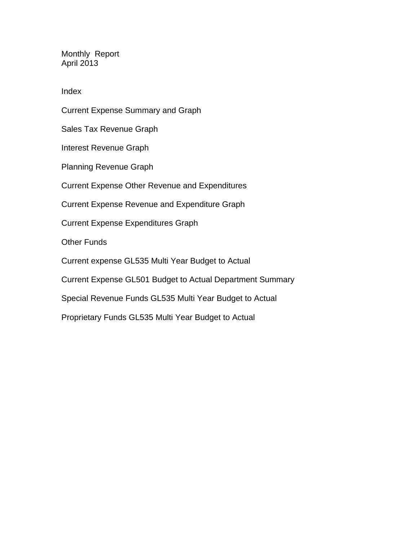Monthly Report April 2013

Index

Current Expense Summary and Graph Sales Tax Revenue Graph Interest Revenue Graph Planning Revenue Graph Current Expense Other Revenue and Expenditures Current Expense Revenue and Expenditure Graph Current Expense Expenditures Graph Other Funds Current expense GL535 Multi Year Budget to Actual Current Expense GL501 Budget to Actual Department Summary Special Revenue Funds GL535 Multi Year Budget to Actual Proprietary Funds GL535 Multi Year Budget to Actual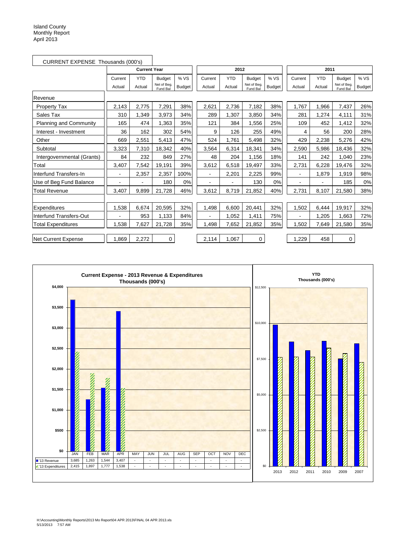| CURRENT EXPENSE Thousands (000's) |         |                     |                         |               |         |            |                         |               |         |            |                         |               |
|-----------------------------------|---------|---------------------|-------------------------|---------------|---------|------------|-------------------------|---------------|---------|------------|-------------------------|---------------|
|                                   |         | <b>Current Year</b> |                         |               | 2012    |            |                         |               | 2011    |            |                         |               |
|                                   | Current | <b>YTD</b>          | <b>Budget</b>           | %VS           | Current | <b>YTD</b> | <b>Budget</b>           | % VS          | Current | <b>YTD</b> | <b>Budget</b>           | %VS           |
|                                   | Actual  | Actual              | Net of Beg.<br>Fund Bal | <b>Budget</b> | Actual  | Actual     | Net of Beg.<br>Fund Bal | <b>Budget</b> | Actual  | Actual     | Net of Beg.<br>Fund Bal | <b>Budget</b> |
| Revenue                           |         |                     |                         |               |         |            |                         |               |         |            |                         |               |
| <b>Property Tax</b>               | 2,143   | 2,775               | 7,291                   | 38%           | 2,621   | 2,736      | 7,182                   | 38%           | 1,767   | 1,966      | 7,437                   | 26%           |
| Sales Tax                         | 310     | 1,349               | 3,973                   | 34%           | 289     | 1,307      | 3,850                   | 34%           | 281     | 1,274      | 4,111                   | 31%           |
| Planning and Community            | 165     | 474                 | 1,363                   | 35%           | 121     | 384        | 1,556                   | 25%           | 109     | 452        | 1,412                   | 32%           |
| Interest - Investment             | 36      | 162                 | 302                     | 54%           | 9       | 126        | 255                     | 49%           | 4       | 56         | 200                     | 28%           |
| Other                             | 669     | 2,551               | 5,413                   | 47%           | 524     | 1,761      | 5,498                   | 32%           | 429     | 2,238      | 5,276                   | 42%           |
| Subtotal                          | 3,323   | 7,310               | 18,342                  | 40%           | 3,564   | 6,314      | 18,341                  | 34%           | 2,590   | 5,986      | 18,436                  | 32%           |
| Intergovernmental (Grants)        | 84      | 232                 | 849                     | 27%           | 48      | 204        | 1,156                   | 18%           | 141     | 242        | 1,040                   | 23%           |
| Total                             | 3,407   | 7.542               | 19,191                  | 39%           | 3,612   | 6.518      | 19,497                  | 33%           | 2,731   | 6,228      | 19.476                  | 32%           |
| Interfund Transfers-In            |         | 2,357               | 2,357                   | 100%          |         | 2,201      | 2,225                   | 99%           |         | 1,879      | 1,919                   | 98%           |
| Use of Beg Fund Balance           |         | ÷                   | 180                     | 0%            | ÷       | ۰          | 130                     | 0%            |         | ۰          | 185                     | 0%            |
| <b>Total Revenue</b>              | 3,407   | 9,899               | 21,728                  | 46%           | 3,612   | 8,719      | 21,852                  | 40%           | 2,731   | 8,107      | 21,580                  | 38%           |
|                                   |         |                     |                         |               |         |            |                         |               |         |            |                         |               |
| Expenditures                      | 1,538   | 6,674               | 20,595                  | 32%           | 1,498   | 6,600      | 20,441                  | 32%           | 1,502   | 6,444      | 19,917                  | 32%           |
| Interfund Transfers-Out           |         | 953                 | 1,133                   | 84%           |         | 1,052      | 1,411                   | 75%           |         | 1,205      | 1,663                   | 72%           |
| <b>Total Expenditures</b>         | 1,538   | 7,627               | 21,728                  | 35%           | 1,498   | 7,652      | 21,852                  | 35%           | 1,502   | 7,649      | 21,580                  | 35%           |
| <b>Net Current Expense</b>        | 1,869   | 2,272               | 0                       |               | 2,114   | 1,067      | 0                       |               | 1,229   | 458        | 0                       |               |
|                                   |         |                     |                         |               |         |            |                         |               |         |            |                         |               |

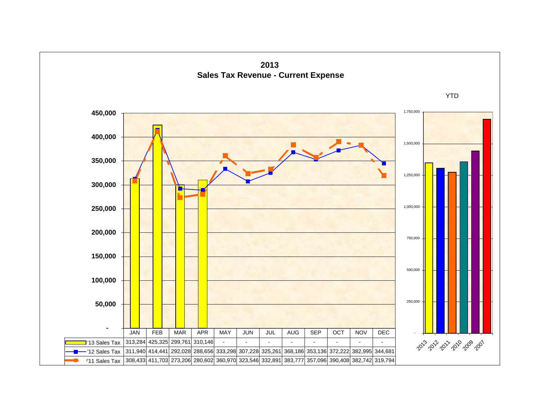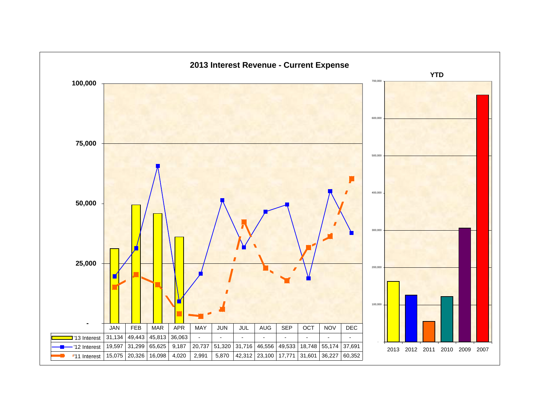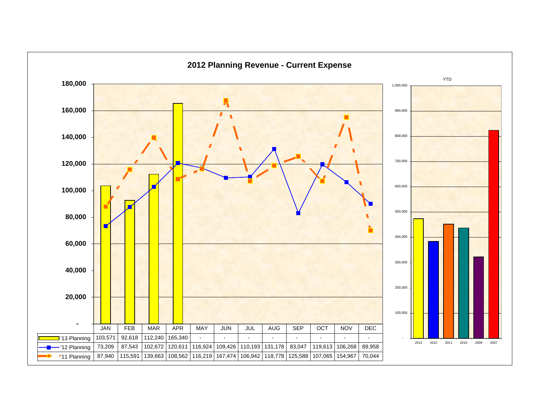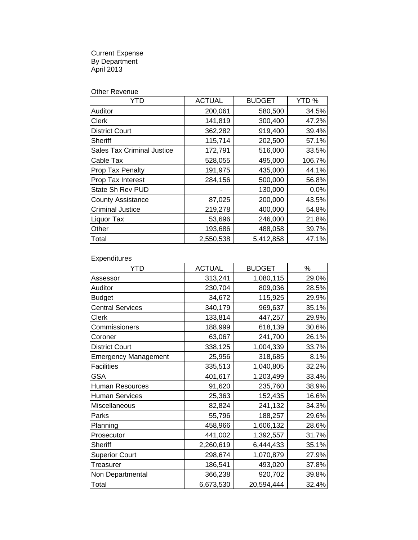Current Expense By Department April 2013

| Other Revenue |
|---------------|
|---------------|

| YTD                               | <b>ACTUAL</b> | <b>BUDGET</b> | YTD%   |
|-----------------------------------|---------------|---------------|--------|
| Auditor                           | 200,061       | 580,500       | 34.5%  |
| Clerk                             | 141,819       | 300,400       | 47.2%  |
| <b>District Court</b>             | 362,282       | 919,400       | 39.4%  |
| Sheriff                           | 115,714       | 202,500       | 57.1%  |
| <b>Sales Tax Criminal Justice</b> | 172,791       | 516,000       | 33.5%  |
| Cable Tax                         | 528,055       | 495,000       | 106.7% |
| Prop Tax Penalty                  | 191,975       | 435,000       | 44.1%  |
| Prop Tax Interest                 | 284,156       | 500,000       | 56.8%  |
| State Sh Rev PUD                  |               | 130,000       | 0.0%   |
| <b>County Assistance</b>          | 87,025        | 200,000       | 43.5%  |
| <b>Criminal Justice</b>           | 219,278       | 400,000       | 54.8%  |
| Liquor Tax                        | 53,696        | 246,000       | 21.8%  |
| Other                             | 193,686       | 488,058       | 39.7%  |
| Total                             | 2,550,538     | 5,412,858     | 47.1%  |

**Expenditures** 

| <b>YTD</b>                  | <b>ACTUAL</b> | <b>BUDGET</b> | %     |
|-----------------------------|---------------|---------------|-------|
| Assessor                    | 313,241       | 1,080,115     | 29.0% |
| Auditor                     | 230,704       | 809,036       | 28.5% |
| <b>Budget</b>               | 34,672        | 115,925       | 29.9% |
| <b>Central Services</b>     | 340,179       | 969,637       | 35.1% |
| <b>Clerk</b>                | 133,814       | 447,257       | 29.9% |
| Commissioners               | 188,999       | 618,139       | 30.6% |
| Coroner                     | 63,067        | 241,700       | 26.1% |
| <b>District Court</b>       | 338,125       | 1,004,339     | 33.7% |
| <b>Emergency Management</b> | 25,956        | 318,685       | 8.1%  |
| <b>Facilities</b>           | 335,513       | 1,040,805     | 32.2% |
| <b>GSA</b>                  | 401,617       | 1,203,499     | 33.4% |
| <b>Human Resources</b>      | 91,620        | 235,760       | 38.9% |
| <b>Human Services</b>       | 25,363        | 152,435       | 16.6% |
| Miscellaneous               | 82,824        | 241,132       | 34.3% |
| Parks                       | 55,796        | 188,257       | 29.6% |
| Planning                    | 458,966       | 1,606,132     | 28.6% |
| Prosecutor                  | 441,002       | 1,392,557     | 31.7% |
| <b>Sheriff</b>              | 2,260,619     | 6,444,433     | 35.1% |
| <b>Superior Court</b>       | 298,674       | 1,070,879     | 27.9% |
| <b>Treasurer</b>            | 186,541       | 493,020       | 37.8% |
| Non Departmental            | 366,238       | 920,702       | 39.8% |
| Total                       | 6,673,530     | 20,594,444    | 32.4% |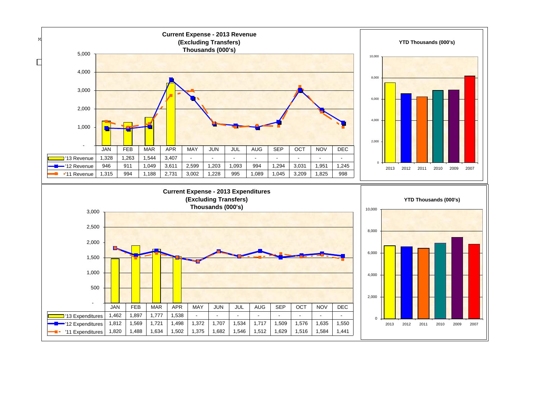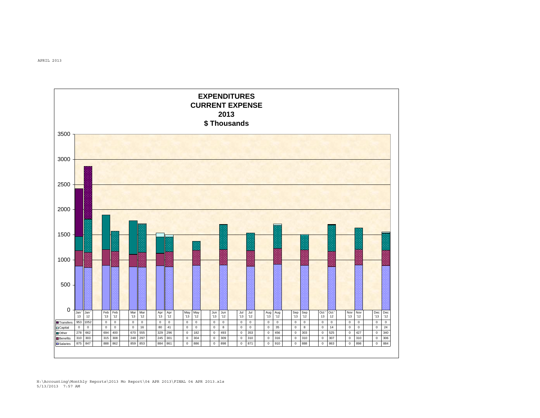

H:\Accounting\Monthly Reports\2013 Mo Report\04 APR 2013\FINAL 04 APR 2013.xls 5/13/2013 7:57 AM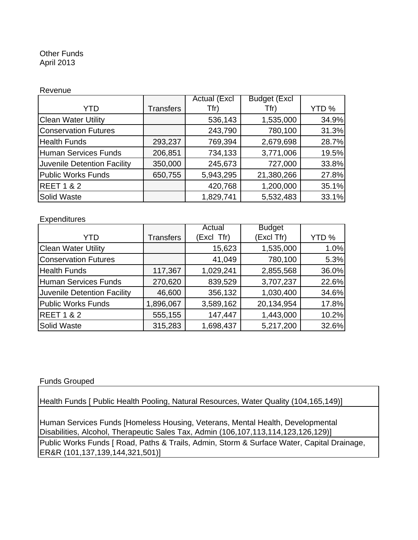#### Other Funds April 2013

#### Revenue

|                                    |           | <b>Actual (Excl</b> | <b>Budget (Excl</b> |       |
|------------------------------------|-----------|---------------------|---------------------|-------|
| YTD                                | Transfers | Tfr)                | Tfr)                | YTD%  |
| <b>Clean Water Utility</b>         |           | 536,143             | 1,535,000           | 34.9% |
| <b>Conservation Futures</b>        |           | 243,790             | 780,100             | 31.3% |
| <b>Health Funds</b>                | 293,237   | 769,394             | 2,679,698           | 28.7% |
| Human Services Funds               | 206,851   | 734,133             | 3,771,006           | 19.5% |
| <b>Juvenile Detention Facility</b> | 350,000   | 245,673             | 727,000             | 33.8% |
| <b>Public Works Funds</b>          | 650,755   | 5,943,295           | 21,380,266          | 27.8% |
| <b>REET 1 &amp; 2</b>              |           | 420,768             | 1,200,000           | 35.1% |
| Solid Waste                        |           | 1,829,741           | 5,532,483           | 33.1% |

#### **Expenditures**

|                                    |                  | Actual     | <b>Budget</b> |       |
|------------------------------------|------------------|------------|---------------|-------|
| YTD                                | <b>Transfers</b> | (Excl Tfr) | (Excl Tfr)    | YTD % |
| <b>Clean Water Utility</b>         |                  | 15,623     | 1,535,000     | 1.0%  |
| <b>Conservation Futures</b>        |                  | 41,049     | 780,100       | 5.3%  |
| <b>Health Funds</b>                | 117,367          | 1,029,241  | 2,855,568     | 36.0% |
| Human Services Funds               | 270,620          | 839,529    | 3,707,237     | 22.6% |
| <b>Juvenile Detention Facility</b> | 46,600           | 356,132    | 1,030,400     | 34.6% |
| <b>Public Works Funds</b>          | 1,896,067        | 3,589,162  | 20,134,954    | 17.8% |
| <b>REET 1 &amp; 2</b>              | 555,155          | 147,447    | 1,443,000     | 10.2% |
| Solid Waste                        | 315,283          | 1,698,437  | 5,217,200     | 32.6% |

#### Funds Grouped

Health Funds [ Public Health Pooling, Natural Resources, Water Quality (104,165,149)]

Public Works Funds [ Road, Paths & Trails, Admin, Storm & Surface Water, Capital Drainage, ER&R (101,137,139,144,321,501)] Human Services Funds [Homeless Housing, Veterans, Mental Health, Developmental Disabilities, Alcohol, Therapeutic Sales Tax, Admin (106,107,113,114,123,126,129)]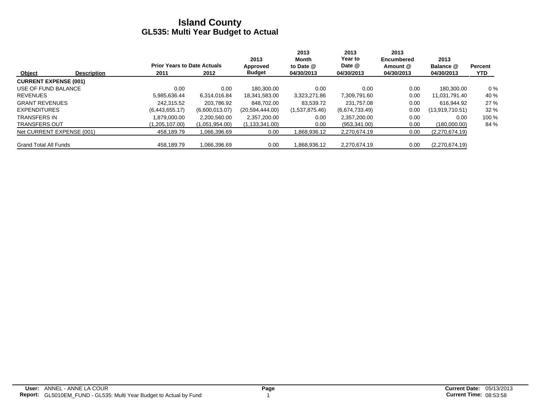|                              |                    |                                    |                | 2013             | 2013<br>Month  | 2013<br>Year to | 2013<br><b>Encumbered</b> | 2013            |                |
|------------------------------|--------------------|------------------------------------|----------------|------------------|----------------|-----------------|---------------------------|-----------------|----------------|
|                              |                    | <b>Prior Years to Date Actuals</b> |                | Approved         | to Date @      | Date @          | Amount @                  | Balance @       | <b>Percent</b> |
| Object                       | <b>Description</b> | 2011                               | 2012           | <b>Budget</b>    | 04/30/2013     | 04/30/2013      | 04/30/2013                | 04/30/2013      | <b>YTD</b>     |
| <b>CURRENT EXPENSE (001)</b> |                    |                                    |                |                  |                |                 |                           |                 |                |
| USE OF FUND BALANCE          |                    | 0.00                               | 0.00           | 180.300.00       | 0.00           | 0.00            | 0.00                      | 180.300.00      | $0\%$          |
| <b>REVENUES</b>              |                    | 5.985.636.44                       | 6.314.016.84   | 18,341,583.00    | 3,323,271.86   | 7.309.791.60    | 0.00                      | 11.031.791.40   | 40 %           |
| <b>GRANT REVENUES</b>        |                    | 242.315.52                         | 203.786.92     | 848.702.00       | 83.539.72      | 231.757.08      | 0.00                      | 616.944.92      | 27%            |
| <b>EXPENDITURES</b>          |                    | (6,443,655.17)                     | (6,600,013.07) | (20,594,444.00)  | (1,537,875.46) | (6,674,733.49)  | 0.00                      | (13,919,710.51) | 32%            |
| <b>TRANSFERS IN</b>          |                    | 1.879.000.00                       | 2,200,560.00   | 2,357,200.00     | 0.00           | 2,357,200.00    | 0.00                      | 0.00            | 100 %          |
| <b>TRANSFERS OUT</b>         |                    | (1,205,107.00)                     | (1,051,954.00) | (1, 133, 341.00) | 0.00           | (953, 341.00)   | 0.00                      | (180,000.00)    | 84 %           |
| Net CURRENT EXPENSE (001)    |                    | 458,189.79                         | 1,066,396.69   | 0.00             | 1,868,936.12   | 2.270.674.19    | 0.00                      | (2,270,674.19)  |                |
| <b>Grand Total All Funds</b> |                    | 458.189.79                         | 1,066,396.69   | 0.00             | 1,868,936.12   | 2,270,674.19    | 0.00                      | (2,270,674.19)  |                |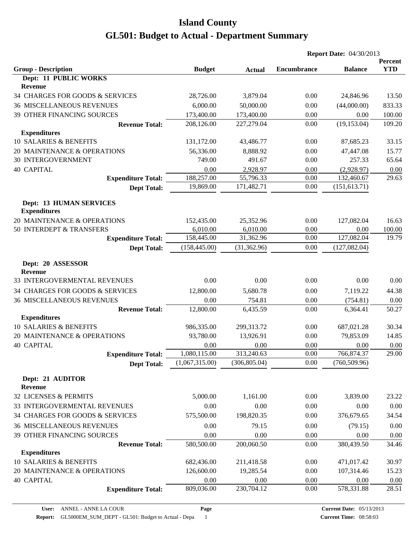|                                                       |                |               | <b>Report Date: 04/30/2013</b> |                |                       |
|-------------------------------------------------------|----------------|---------------|--------------------------------|----------------|-----------------------|
| <b>Group - Description</b>                            | <b>Budget</b>  |               | <b>Encumbrance</b>             | <b>Balance</b> | Percent<br><b>YTD</b> |
| Dept: 11 PUBLIC WORKS                                 |                | <b>Actual</b> |                                |                |                       |
| <b>Revenue</b>                                        |                |               |                                |                |                       |
| 34 CHARGES FOR GOODS & SERVICES                       | 28,726.00      | 3,879.04      | 0.00                           | 24,846.96      | 13.50                 |
| <b>36 MISCELLANEOUS REVENUES</b>                      | 6,000.00       | 50,000.00     | 0.00                           | (44,000.00)    | 833.33                |
| 39 OTHER FINANCING SOURCES                            | 173,400.00     | 173,400.00    | 0.00                           | 0.00           | 100.00                |
| <b>Revenue Total:</b>                                 | 208,126.00     | 227,279.04    | 0.00                           | (19, 153.04)   | 109.20                |
| <b>Expenditures</b>                                   |                |               |                                |                |                       |
| 10 SALARIES & BENEFITS                                | 131,172.00     | 43,486.77     | 0.00                           | 87,685.23      | 33.15                 |
| 20 MAINTENANCE & OPERATIONS                           | 56,336.00      | 8,888.92      | 0.00                           | 47,447.08      | 15.77                 |
| <b>30 INTERGOVERNMENT</b>                             | 749.00         | 491.67        | 0.00                           | 257.33         | 65.64                 |
| <b>40 CAPITAL</b>                                     | 0.00           | 2,928.97      | 0.00                           | (2,928.97)     | 0.00                  |
| <b>Expenditure Total:</b>                             | 188,257.00     | 55,796.33     | 0.00                           | 132,460.67     | 29.63                 |
| <b>Dept Total:</b>                                    | 19,869.00      | 171,482.71    | 0.00                           | (151, 613.71)  |                       |
| <b>Dept: 13 HUMAN SERVICES</b><br><b>Expenditures</b> |                |               |                                |                |                       |
| 20 MAINTENANCE & OPERATIONS                           | 152,435.00     | 25,352.96     | 0.00                           | 127,082.04     | 16.63                 |
| 50 INTERDEPT & TRANSFERS                              | 6,010.00       | 6,010.00      | 0.00                           | 0.00           | 100.00                |
| <b>Expenditure Total:</b>                             | 158,445.00     | 31,362.96     | 0.00                           | 127,082.04     | 19.79                 |
| <b>Dept Total:</b>                                    | (158, 445.00)  | (31, 362.96)  | 0.00                           | (127,082.04)   |                       |
| Dept: 20 ASSESSOR<br><b>Revenue</b>                   |                |               |                                |                |                       |
| 33 INTERGOVERMENTAL REVENUES                          | 0.00           | 0.00          | 0.00                           | 0.00           | 0.00                  |
| 34 CHARGES FOR GOODS & SERVICES                       | 12,800.00      | 5,680.78      | 0.00                           | 7,119.22       | 44.38                 |
| <b>36 MISCELLANEOUS REVENUES</b>                      | 0.00           | 754.81        | 0.00                           | (754.81)       | 0.00                  |
| <b>Revenue Total:</b>                                 | 12,800.00      | 6,435.59      | 0.00                           | 6,364.41       | 50.27                 |
| <b>Expenditures</b>                                   |                |               |                                |                |                       |
| 10 SALARIES & BENEFITS                                | 986,335.00     | 299,313.72    | 0.00                           | 687,021.28     | 30.34                 |
| 20 MAINTENANCE & OPERATIONS                           | 93,780.00      | 13,926.91     | 0.00                           | 79,853.09      | 14.85                 |
| <b>40 CAPITAL</b>                                     | 0.00           | 0.00          | 0.00                           | 0.00           | 0.00                  |
| <b>Expenditure Total:</b>                             | 1,080,115.00   | 313,240.63    | 0.00                           | 766,874.37     | 29.00                 |
| <b>Dept Total:</b>                                    | (1,067,315.00) | (306, 805.04) | 0.00                           | (760, 509.96)  |                       |
| Dept: 21 AUDITOR<br><b>Revenue</b>                    |                |               |                                |                |                       |
| 32 LICENSES & PERMITS                                 | 5,000.00       | 1,161.00      | 0.00                           | 3,839.00       | 23.22                 |
| 33 INTERGOVERMENTAL REVENUES                          | 0.00           | 0.00          | 0.00                           | 0.00           | 0.00                  |
| 34 CHARGES FOR GOODS & SERVICES                       | 575,500.00     | 198,820.35    | 0.00                           | 376,679.65     | 34.54                 |
| <b>36 MISCELLANEOUS REVENUES</b>                      | 0.00           | 79.15         | 0.00                           | (79.15)        | 0.00                  |
| 39 OTHER FINANCING SOURCES                            | 0.00           | 0.00          | 0.00                           | 0.00           | 0.00                  |
| <b>Revenue Total:</b>                                 | 580,500.00     | 200,060.50    | 0.00                           | 380,439.50     | 34.46                 |
| <b>Expenditures</b>                                   |                |               |                                |                |                       |
| 10 SALARIES & BENEFITS                                | 682,436.00     | 211,418.58    | 0.00                           | 471,017.42     | 30.97                 |
| 20 MAINTENANCE & OPERATIONS                           | 126,600.00     | 19,285.54     | 0.00                           | 107,314.46     | 15.23                 |
| <b>40 CAPITAL</b>                                     | 0.00           | 0.00          | 0.00                           | 0.00           | 0.00                  |
| <b>Expenditure Total:</b>                             | 809,036.00     | 230,704.12    | 0.00                           | 578,331.88     | 28.51                 |
|                                                       |                |               |                                |                |                       |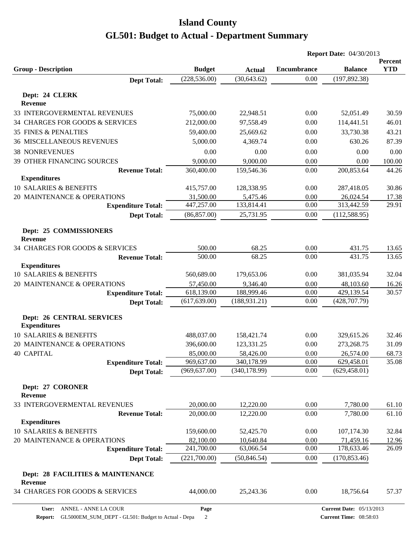|                                                     |               |               | <b>Report Date: 04/30/2013</b> |                |            |  |
|-----------------------------------------------------|---------------|---------------|--------------------------------|----------------|------------|--|
|                                                     |               |               |                                |                | Percent    |  |
| <b>Group - Description</b>                          | <b>Budget</b> | <b>Actual</b> | <b>Encumbrance</b>             | <b>Balance</b> | <b>YTD</b> |  |
| <b>Dept Total:</b>                                  | (228, 536.00) | (30, 643.62)  | 0.00                           | (197, 892.38)  |            |  |
| Dept: 24 CLERK                                      |               |               |                                |                |            |  |
| <b>Revenue</b>                                      |               |               |                                |                |            |  |
| 33 INTERGOVERMENTAL REVENUES                        | 75,000.00     | 22,948.51     | 0.00                           | 52,051.49      | 30.59      |  |
| 34 CHARGES FOR GOODS & SERVICES                     | 212,000.00    | 97,558.49     | 0.00                           | 114,441.51     | 46.01      |  |
| <b>35 FINES &amp; PENALTIES</b>                     | 59,400.00     | 25,669.62     | 0.00                           | 33,730.38      | 43.21      |  |
| <b>36 MISCELLANEOUS REVENUES</b>                    | 5,000.00      | 4,369.74      | 0.00                           | 630.26         | 87.39      |  |
| <b>38 NONREVENUES</b>                               | 0.00          | 0.00          | 0.00                           | 0.00           | 0.00       |  |
| 39 OTHER FINANCING SOURCES                          | 9,000.00      | 9,000.00      | 0.00                           | 0.00           | 100.00     |  |
| <b>Revenue Total:</b>                               | 360,400.00    | 159,546.36    | 0.00                           | 200,853.64     | 44.26      |  |
| <b>Expenditures</b>                                 |               |               |                                |                |            |  |
| 10 SALARIES & BENEFITS                              | 415,757.00    | 128,338.95    | 0.00                           | 287,418.05     | 30.86      |  |
| 20 MAINTENANCE & OPERATIONS                         | 31,500.00     | 5,475.46      | 0.00                           | 26,024.54      | 17.38      |  |
| <b>Expenditure Total:</b>                           | 447,257.00    | 133,814.41    | 0.00                           | 313,442.59     | 29.91      |  |
| <b>Dept Total:</b>                                  | (86, 857.00)  | 25,731.95     | 0.00                           | (112, 588.95)  |            |  |
|                                                     |               |               |                                |                |            |  |
| Dept: 25 COMMISSIONERS<br><b>Revenue</b>            |               |               |                                |                |            |  |
| 34 CHARGES FOR GOODS & SERVICES                     | 500.00        | 68.25         | 0.00                           | 431.75         | 13.65      |  |
| <b>Revenue Total:</b>                               | 500.00        | 68.25         | 0.00                           | 431.75         | 13.65      |  |
| <b>Expenditures</b>                                 |               |               |                                |                |            |  |
| 10 SALARIES & BENEFITS                              | 560,689.00    | 179,653.06    | 0.00                           | 381,035.94     | 32.04      |  |
| 20 MAINTENANCE & OPERATIONS                         | 57,450.00     | 9,346.40      | 0.00                           | 48,103.60      | 16.26      |  |
| <b>Expenditure Total:</b>                           | 618,139.00    | 188,999.46    | 0.00                           | 429,139.54     | 30.57      |  |
| <b>Dept Total:</b>                                  | (617, 639.00) | (188, 931.21) | 0.00                           | (428, 707.79)  |            |  |
| <b>Dept: 26 CENTRAL SERVICES</b>                    |               |               |                                |                |            |  |
| <b>Expenditures</b>                                 |               |               |                                |                |            |  |
| 10 SALARIES & BENEFITS                              | 488,037.00    | 158,421.74    | 0.00                           | 329,615.26     | 32.46      |  |
| 20 MAINTENANCE & OPERATIONS                         | 396,600.00    | 123,331.25    | 0.00                           | 273,268.75     | 31.09      |  |
| <b>40 CAPITAL</b>                                   | 85,000.00     | 58,426.00     | 0.00                           | 26,574.00      | 68.73      |  |
| <b>Expenditure Total:</b>                           | 969,637.00    | 340,178.99    | 0.00                           | 629,458.01     | 35.08      |  |
| <b>Dept Total:</b>                                  | (969, 637.00) | (340, 178.99) | 0.00                           | (629, 458.01)  |            |  |
| Dept: 27 CORONER<br><b>Revenue</b>                  |               |               |                                |                |            |  |
| 33 INTERGOVERMENTAL REVENUES                        | 20,000.00     | 12,220.00     | 0.00                           | 7,780.00       | 61.10      |  |
| <b>Revenue Total:</b>                               | 20,000.00     | 12,220.00     | 0.00                           | 7,780.00       | 61.10      |  |
| <b>Expenditures</b>                                 |               |               |                                |                |            |  |
| 10 SALARIES & BENEFITS                              | 159,600.00    | 52,425.70     | 0.00                           | 107,174.30     | 32.84      |  |
| 20 MAINTENANCE & OPERATIONS                         | 82,100.00     | 10,640.84     | 0.00                           | 71,459.16      | 12.96      |  |
| <b>Expenditure Total:</b>                           | 241,700.00    | 63,066.54     | 0.00                           | 178,633.46     | 26.09      |  |
| <b>Dept Total:</b>                                  | (221,700.00)  | (50, 846.54)  | 0.00                           | (170, 853.46)  |            |  |
|                                                     |               |               |                                |                |            |  |
| Dept: 28 FACILITIES & MAINTENANCE<br><b>Revenue</b> |               |               |                                |                |            |  |
| 34 CHARGES FOR GOODS & SERVICES                     | 44,000.00     | 25,243.36     | 0.00                           | 18,756.64      | 57.37      |  |
|                                                     |               |               |                                |                |            |  |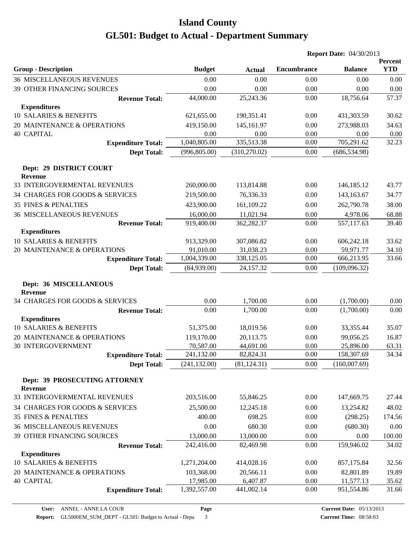|                                                 |               |               | <b>Report Date: 04/30/2013</b> |                |                       |  |
|-------------------------------------------------|---------------|---------------|--------------------------------|----------------|-----------------------|--|
| <b>Group - Description</b>                      | <b>Budget</b> | <b>Actual</b> | <b>Encumbrance</b>             | <b>Balance</b> | Percent<br><b>YTD</b> |  |
| <b>36 MISCELLANEOUS REVENUES</b>                | 0.00          | 0.00          | 0.00                           | 0.00           | 0.00                  |  |
| 39 OTHER FINANCING SOURCES                      | 0.00          | 0.00          | 0.00                           | 0.00           | 0.00                  |  |
| <b>Revenue Total:</b>                           | 44,000.00     | 25,243.36     | 0.00                           | 18,756.64      | 57.37                 |  |
| <b>Expenditures</b>                             |               |               |                                |                |                       |  |
| 10 SALARIES & BENEFITS                          | 621,655.00    | 190,351.41    | 0.00                           | 431,303.59     | 30.62                 |  |
| 20 MAINTENANCE & OPERATIONS                     | 419,150.00    | 145,161.97    | 0.00                           | 273,988.03     | 34.63                 |  |
| <b>40 CAPITAL</b>                               | 0.00          | 0.00          | 0.00                           | 0.00           | 0.00                  |  |
| <b>Expenditure Total:</b>                       | 1,040,805.00  | 335,513.38    | 0.00                           | 705,291.62     | 32.23                 |  |
| <b>Dept Total:</b>                              | (996, 805.00) | (310, 270.02) | 0.00                           | (686, 534.98)  |                       |  |
| Dept: 29 DISTRICT COURT<br><b>Revenue</b>       |               |               |                                |                |                       |  |
| 33 INTERGOVERMENTAL REVENUES                    | 260,000.00    | 113,814.88    | 0.00                           | 146,185.12     | 43.77                 |  |
| 34 CHARGES FOR GOODS & SERVICES                 | 219,500.00    | 76,336.33     | 0.00                           | 143,163.67     | 34.77                 |  |
| <b>35 FINES &amp; PENALTIES</b>                 | 423,900.00    | 161,109.22    | 0.00                           | 262,790.78     | 38.00                 |  |
| <b>36 MISCELLANEOUS REVENUES</b>                | 16,000.00     | 11,021.94     | 0.00                           | 4,978.06       | 68.88                 |  |
| <b>Revenue Total:</b>                           | 919,400.00    | 362,282.37    | 0.00                           | 557,117.63     | 39.40                 |  |
| <b>Expenditures</b>                             |               |               |                                |                |                       |  |
| 10 SALARIES & BENEFITS                          | 913,329.00    | 307,086.82    | 0.00                           | 606,242.18     | 33.62                 |  |
| 20 MAINTENANCE & OPERATIONS                     | 91,010.00     | 31,038.23     | 0.00                           | 59,971.77      | 34.10                 |  |
| <b>Expenditure Total:</b>                       | 1,004,339.00  | 338,125.05    | 0.00                           | 666,213.95     | 33.66                 |  |
| <b>Dept Total:</b>                              | (84,939.00)   | 24,157.32     | 0.00                           | (109,096.32)   |                       |  |
| Dept: 36 MISCELLANEOUS<br><b>Revenue</b>        |               |               |                                |                |                       |  |
| 34 CHARGES FOR GOODS & SERVICES                 | 0.00          | 1,700.00      | 0.00                           | (1,700.00)     | 0.00                  |  |
| <b>Revenue Total:</b>                           | 0.00          | 1,700.00      | 0.00                           | (1,700.00)     | 0.00                  |  |
| <b>Expenditures</b>                             |               |               |                                |                |                       |  |
| 10 SALARIES & BENEFITS                          | 51,375.00     | 18,019.56     | 0.00                           | 33, 355.44     | 35.07                 |  |
| 20 MAINTENANCE & OPERATIONS                     | 119,170.00    | 20,113.75     | 0.00                           | 99,056.25      | 16.87                 |  |
| <b>30 INTERGOVERNMENT</b>                       | 70,587.00     | 44,691.00     | 0.00                           | 25,896.00      | 63.31                 |  |
| <b>Expenditure Total:</b>                       | 241,132.00    | 82,824.31     | 0.00                           | 158,307.69     | 34.34                 |  |
| <b>Dept Total:</b>                              | (241, 132.00) | (81, 124.31)  | 0.00                           | (160,007.69)   |                       |  |
| Dept: 39 PROSECUTING ATTORNEY<br><b>Revenue</b> |               |               |                                |                |                       |  |
| 33 INTERGOVERMENTAL REVENUES                    | 203,516.00    | 55,846.25     | 0.00                           | 147,669.75     | 27.44                 |  |
| 34 CHARGES FOR GOODS & SERVICES                 | 25,500.00     | 12,245.18     | 0.00                           | 13,254.82      | 48.02                 |  |
| <b>35 FINES &amp; PENALTIES</b>                 | 400.00        | 698.25        | 0.00                           | (298.25)       | 174.56                |  |
| <b>36 MISCELLANEOUS REVENUES</b>                | 0.00          | 680.30        | 0.00                           | (680.30)       | 0.00                  |  |
| 39 OTHER FINANCING SOURCES                      | 13,000.00     | 13,000.00     | 0.00                           | 0.00           | 100.00                |  |
| <b>Revenue Total:</b>                           | 242,416.00    | 82,469.98     | 0.00                           | 159,946.02     | 34.02                 |  |
| <b>Expenditures</b>                             |               |               |                                |                |                       |  |
| 10 SALARIES & BENEFITS                          | 1,271,204.00  | 414,028.16    | 0.00                           | 857,175.84     | 32.56                 |  |
| 20 MAINTENANCE & OPERATIONS                     | 103,368.00    | 20,566.11     | 0.00                           | 82,801.89      | 19.89                 |  |
| <b>40 CAPITAL</b>                               | 17,985.00     | 6,407.87      | 0.00                           | 11,577.13      | 35.62                 |  |
| <b>Expenditure Total:</b>                       | 1,392,557.00  | 441,002.14    | 0.00                           | 951,554.86     | 31.66                 |  |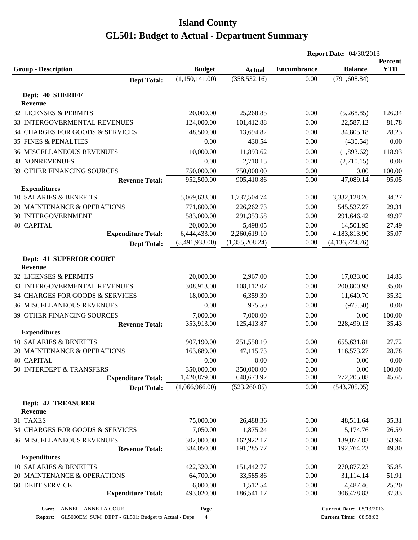|                                              |                          |                          | <b>Report Date: 04/30/2013</b> |                          |                       |
|----------------------------------------------|--------------------------|--------------------------|--------------------------------|--------------------------|-----------------------|
| <b>Group - Description</b>                   | <b>Budget</b>            | <b>Actual</b>            | <b>Encumbrance</b>             | <b>Balance</b>           | Percent<br><b>YTD</b> |
| <b>Dept Total:</b>                           | (1,150,141.00)           | (358, 532.16)            | 0.00                           | (791, 608.84)            |                       |
|                                              |                          |                          |                                |                          |                       |
| Dept: 40 SHERIFF<br>Revenue                  |                          |                          |                                |                          |                       |
| <b>32 LICENSES &amp; PERMITS</b>             | 20,000.00                | 25,268.85                | 0.00                           | (5,268.85)               | 126.34                |
| 33 INTERGOVERMENTAL REVENUES                 | 124,000.00               | 101,412.88               | 0.00                           | 22,587.12                | 81.78                 |
| 34 CHARGES FOR GOODS & SERVICES              | 48,500.00                | 13,694.82                | 0.00                           | 34,805.18                | 28.23                 |
| <b>35 FINES &amp; PENALTIES</b>              | 0.00                     | 430.54                   | 0.00                           | (430.54)                 | 0.00                  |
| <b>36 MISCELLANEOUS REVENUES</b>             | 10,000.00                | 11,893.62                | 0.00                           | (1,893.62)               | 118.93                |
| <b>38 NONREVENUES</b>                        | 0.00                     | 2,710.15                 | 0.00                           | (2,710.15)               | 0.00                  |
| 39 OTHER FINANCING SOURCES                   | 750,000.00               | 750,000.00               | 0.00                           | 0.00                     | 100.00                |
| <b>Revenue Total:</b>                        | 952,500.00               | 905,410.86               | 0.00                           | 47,089.14                | 95.05                 |
| <b>Expenditures</b>                          |                          |                          |                                |                          |                       |
| 10 SALARIES & BENEFITS                       | 5,069,633.00             | 1,737,504.74             | 0.00                           | 3,332,128.26             | 34.27                 |
| 20 MAINTENANCE & OPERATIONS                  | 771,800.00               | 226,262.73               | 0.00                           | 545,537.27               | 29.31                 |
| <b>30 INTERGOVERNMENT</b>                    | 583,000.00               | 291,353.58               | 0.00                           | 291,646.42               | 49.97                 |
| <b>40 CAPITAL</b>                            | 20,000.00                | 5,498.05                 | 0.00                           | 14,501.95                | 27.49                 |
| <b>Expenditure Total:</b>                    | 6,444,433.00             | 2,260,619.10             | 0.00                           | 4,183,813.90             | 35.07                 |
| <b>Dept Total:</b>                           | (5,491,933.00)           | (1,355,208.24)           | 0.00                           | (4, 136, 724.76)         |                       |
| Dept: 41 SUPERIOR COURT                      |                          |                          |                                |                          |                       |
| Revenue                                      |                          |                          |                                |                          |                       |
| <b>32 LICENSES &amp; PERMITS</b>             | 20,000.00                | 2,967.00                 | 0.00                           | 17,033.00                | 14.83                 |
| 33 INTERGOVERMENTAL REVENUES                 | 308,913.00               | 108,112.07               | 0.00                           | 200,800.93               | 35.00                 |
| 34 CHARGES FOR GOODS & SERVICES              | 18,000.00                | 6,359.30                 | 0.00                           | 11,640.70                | 35.32                 |
| <b>36 MISCELLANEOUS REVENUES</b>             | 0.00                     | 975.50                   | 0.00                           | (975.50)                 | 0.00                  |
| 39 OTHER FINANCING SOURCES                   | 7,000.00                 | 7,000.00                 | 0.00                           | 0.00                     | 100.00                |
| <b>Revenue Total:</b>                        | 353,913.00               | 125,413.87               | 0.00                           | 228,499.13               | 35.43                 |
| <b>Expenditures</b>                          |                          |                          |                                |                          |                       |
| <b>10 SALARIES &amp; BENEFITS</b>            | 907,190.00               | 251,558.19               | 0.00                           | 655,631.81               | 27.72                 |
| 20 MAINTENANCE & OPERATIONS                  | 163,689.00               | 47,115.73                | 0.00                           | 116,573.27               | 28.78                 |
| <b>40 CAPITAL</b>                            | 0.00                     | 0.00                     | 0.00                           | 0.00                     | 0.00                  |
| 50 INTERDEPT & TRANSFERS                     | 350,000.00               | 350,000.00               | 0.00                           | 0.00                     | 100.00                |
| <b>Expenditure Total:</b>                    | 1,420,879.00             | 648,673.92               | 0.00                           | 772,205.08               | 45.65                 |
| <b>Dept Total:</b>                           | (1,066,966.00)           | (523,260.05)             | 0.00                           | (543,705.95)             |                       |
| <b>Dept: 42 TREASURER</b>                    |                          |                          |                                |                          |                       |
| <b>Revenue</b><br>31 TAXES                   | 75,000.00                | 26,488.36                | 0.00                           |                          |                       |
|                                              |                          | 1,875.24                 |                                | 48,511.64                | 35.31                 |
| 34 CHARGES FOR GOODS & SERVICES              | 7,050.00                 |                          | 0.00                           | 5,174.76                 | 26.59                 |
| <b>36 MISCELLANEOUS REVENUES</b>             | 302,000.00<br>384,050.00 | 162,922.17<br>191,285.77 | 0.00<br>0.00                   | 139,077.83<br>192,764.23 | 53.94<br>49.80        |
| <b>Revenue Total:</b><br><b>Expenditures</b> |                          |                          |                                |                          |                       |
| 10 SALARIES & BENEFITS                       | 422,320.00               | 151,442.77               | 0.00                           | 270,877.23               | 35.85                 |
| 20 MAINTENANCE & OPERATIONS                  | 64,700.00                | 33,585.86                | 0.00                           | 31,114.14                | 51.91                 |
| <b>60 DEBT SERVICE</b>                       | 6,000.00                 | 1,512.54                 | 0.00                           | 4,487.46                 | 25.20                 |
| <b>Expenditure Total:</b>                    | 493,020.00               | 186,541.17               | 0.00                           | 306,478.83               | 37.83                 |
|                                              |                          |                          |                                |                          |                       |

**Page**

**Report:** GL5000EM\_SUM\_DEPT - GL501: Budget to Actual - Depa 4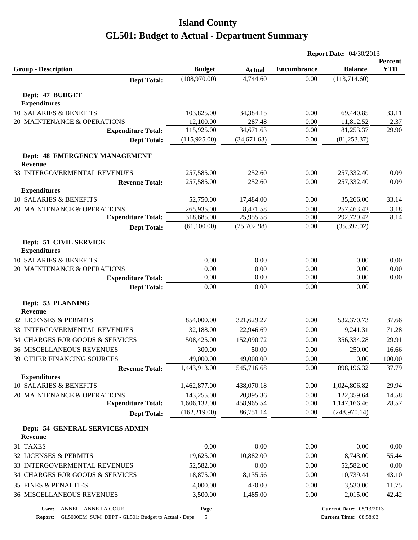|                                                   |                               |                           | <b>Report Date: 04/30/2013</b> |                                 |                       |  |
|---------------------------------------------------|-------------------------------|---------------------------|--------------------------------|---------------------------------|-----------------------|--|
| <b>Group - Description</b>                        |                               |                           | <b>Encumbrance</b>             | <b>Balance</b>                  | Percent<br><b>YTD</b> |  |
|                                                   | <b>Budget</b><br>(108,970.00) | <b>Actual</b><br>4,744.60 | 0.00                           | (113, 714.60)                   |                       |  |
| <b>Dept Total:</b>                                |                               |                           |                                |                                 |                       |  |
| Dept: 47 BUDGET                                   |                               |                           |                                |                                 |                       |  |
| <b>Expenditures</b>                               |                               |                           |                                |                                 |                       |  |
| 10 SALARIES & BENEFITS                            | 103,825.00                    | 34,384.15                 | 0.00                           | 69,440.85                       | 33.11                 |  |
| 20 MAINTENANCE & OPERATIONS                       | 12,100.00                     | 287.48                    | 0.00                           | 11,812.52                       | 2.37                  |  |
| <b>Expenditure Total:</b>                         | 115,925.00                    | 34,671.63                 | 0.00                           | 81,253.37                       | 29.90                 |  |
| <b>Dept Total:</b>                                | (115, 925.00)                 | (34, 671.63)              | 0.00                           | (81, 253.37)                    |                       |  |
| Dept: 48 EMERGENCY MANAGEMENT<br><b>Revenue</b>   |                               |                           |                                |                                 |                       |  |
| 33 INTERGOVERMENTAL REVENUES                      | 257,585.00                    | 252.60                    | 0.00                           | 257,332.40                      | 0.09                  |  |
| <b>Revenue Total:</b>                             | 257,585.00                    | 252.60                    | 0.00                           | 257,332.40                      | 0.09                  |  |
| <b>Expenditures</b>                               |                               |                           |                                |                                 |                       |  |
| 10 SALARIES & BENEFITS                            | 52,750.00                     | 17,484.00                 | 0.00                           | 35,266.00                       | 33.14                 |  |
| 20 MAINTENANCE & OPERATIONS                       | 265,935.00                    | 8,471.58                  | 0.00                           | 257,463.42                      | 3.18                  |  |
| <b>Expenditure Total:</b>                         | 318,685.00                    | 25,955.58                 | 0.00                           | 292,729.42                      | 8.14                  |  |
| <b>Dept Total:</b>                                | (61,100.00)                   | (25,702.98)               | 0.00                           | (35,397.02)                     |                       |  |
| Dept: 51 CIVIL SERVICE<br><b>Expenditures</b>     |                               |                           |                                |                                 |                       |  |
| 10 SALARIES & BENEFITS                            | 0.00                          | 0.00                      | 0.00                           | 0.00                            | 0.00                  |  |
| 20 MAINTENANCE & OPERATIONS                       | 0.00                          | 0.00                      | 0.00                           | 0.00                            | 0.00                  |  |
| <b>Expenditure Total:</b>                         | 0.00                          | 0.00                      | 0.00                           | 0.00                            | 0.00                  |  |
| <b>Dept Total:</b>                                | 0.00                          | 0.00                      | 0.00                           | 0.00                            |                       |  |
| Dept: 53 PLANNING<br><b>Revenue</b>               |                               |                           |                                |                                 |                       |  |
| 32 LICENSES & PERMITS                             | 854,000.00                    | 321,629.27                | 0.00                           | 532,370.73                      | 37.66                 |  |
| 33 INTERGOVERMENTAL REVENUES                      | 32,188.00                     | 22,946.69                 | 0.00                           | 9,241.31                        | 71.28                 |  |
| 34 CHARGES FOR GOODS & SERVICES                   | 508,425.00                    | 152,090.72                | 0.00                           | 356,334.28                      | 29.91                 |  |
| <b>36 MISCELLANEOUS REVENUES</b>                  | 300.00                        | 50.00                     | 0.00                           | 250.00                          | 16.66                 |  |
| 39 OTHER FINANCING SOURCES                        | 49,000.00                     | 49,000.00                 | 0.00                           | 0.00                            | 100.00                |  |
| <b>Revenue Total:</b>                             | 1,443,913.00                  | 545,716.68                | 0.00                           | 898,196.32                      | 37.79                 |  |
| <b>Expenditures</b>                               |                               |                           |                                |                                 |                       |  |
| 10 SALARIES & BENEFITS                            | 1,462,877.00                  | 438,070.18                | 0.00                           | 1,024,806.82                    | 29.94                 |  |
| 20 MAINTENANCE & OPERATIONS                       | 143,255.00                    | 20,895.36                 | 0.00                           | 122,359.64                      | <u>14.58</u>          |  |
| <b>Expenditure Total:</b>                         | 1,606,132.00                  | 458,965.54                | 0.00                           | 1,147,166.46                    | 28.57                 |  |
| <b>Dept Total:</b>                                | (162, 219.00)                 | 86,751.14                 | 0.00                           | (248,970.14)                    |                       |  |
|                                                   |                               |                           |                                |                                 |                       |  |
| Dept: 54 GENERAL SERVICES ADMIN<br><b>Revenue</b> |                               |                           |                                |                                 |                       |  |
| 31 TAXES                                          | 0.00                          | 0.00                      | 0.00                           | 0.00                            | 0.00                  |  |
| 32 LICENSES & PERMITS                             | 19,625.00                     | 10,882.00                 | 0.00                           | 8,743.00                        | 55.44                 |  |
| 33 INTERGOVERMENTAL REVENUES                      | 52,582.00                     | 0.00                      | 0.00                           | 52,582.00                       | 0.00                  |  |
| 34 CHARGES FOR GOODS & SERVICES                   | 18,875.00                     | 8,135.56                  | 0.00                           | 10,739.44                       | 43.10                 |  |
| 35 FINES & PENALTIES                              | 4,000.00                      | 470.00                    | 0.00                           | 3,530.00                        | 11.75                 |  |
| <b>36 MISCELLANEOUS REVENUES</b>                  | 3,500.00                      | 1,485.00                  | 0.00                           | 2,015.00                        | 42.42                 |  |
| ANNEL - ANNE LA COUR<br>User:                     | Page                          |                           |                                | <b>Current Date: 05/13/2013</b> |                       |  |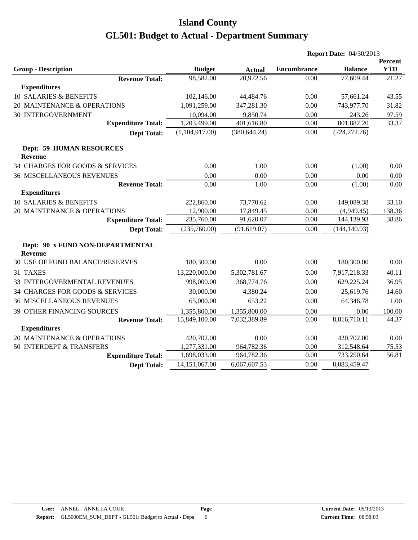|                                                    |                           |                |                            |                    | <b>Report Date: 04/30/2013</b> |                       |
|----------------------------------------------------|---------------------------|----------------|----------------------------|--------------------|--------------------------------|-----------------------|
| <b>Group - Description</b>                         |                           | <b>Budget</b>  |                            | <b>Encumbrance</b> | <b>Balance</b>                 | Percent<br><b>YTD</b> |
|                                                    | <b>Revenue Total:</b>     | 98,582.00      | <b>Actual</b><br>20,972.56 | 0.00               | 77,609.44                      | 21.27                 |
| <b>Expenditures</b>                                |                           |                |                            |                    |                                |                       |
| 10 SALARIES & BENEFITS                             |                           | 102,146.00     | 44,484.76                  | 0.00               | 57,661.24                      | 43.55                 |
| 20 MAINTENANCE & OPERATIONS                        |                           | 1,091,259.00   | 347,281.30                 | 0.00               | 743,977.70                     | 31.82                 |
| <b>30 INTERGOVERNMENT</b>                          |                           | 10,094.00      | 9,850.74                   | 0.00               | 243.26                         | 97.59                 |
|                                                    | <b>Expenditure Total:</b> | 1,203,499.00   | 401,616.80                 | 0.00               | 801,882.20                     | 33.37                 |
|                                                    | <b>Dept Total:</b>        | (1,104,917.00) | (380, 644.24)              | 0.00               | (724, 272.76)                  |                       |
| <b>Dept: 59 HUMAN RESOURCES</b><br><b>Revenue</b>  |                           |                |                            |                    |                                |                       |
| 34 CHARGES FOR GOODS & SERVICES                    |                           | 0.00           | 1.00                       | 0.00               | (1.00)                         | 0.00                  |
| <b>36 MISCELLANEOUS REVENUES</b>                   |                           | 0.00           | 0.00                       | 0.00               | 0.00                           | 0.00                  |
|                                                    | <b>Revenue Total:</b>     | 0.00           | 1.00                       | 0.00               | (1.00)                         | 0.00                  |
| <b>Expenditures</b>                                |                           |                |                            |                    |                                |                       |
| 10 SALARIES & BENEFITS                             |                           | 222,860.00     | 73,770.62                  | 0.00               | 149,089.38                     | 33.10                 |
| 20 MAINTENANCE & OPERATIONS                        |                           | 12,900.00      | 17,849.45                  | 0.00               | (4,949.45)                     | 138.36                |
|                                                    | <b>Expenditure Total:</b> | 235,760.00     | 91,620.07                  | 0.00               | 144,139.93                     | 38.86                 |
|                                                    | <b>Dept Total:</b>        | (235,760.00)   | (91, 619.07)               | 0.00               | (144, 140.93)                  |                       |
| Dept: 90 x FUND NON-DEPARTMENTAL<br><b>Revenue</b> |                           |                |                            |                    |                                |                       |
| 30 USE OF FUND BALANCE/RESERVES                    |                           | 180,300.00     | 0.00                       | 0.00               | 180,300.00                     | 0.00                  |
| 31 TAXES                                           |                           | 13,220,000.00  | 5,302,781.67               | 0.00               | 7,917,218.33                   | 40.11                 |
| 33 INTERGOVERMENTAL REVENUES                       |                           | 998,000.00     | 368,774.76                 | 0.00               | 629,225.24                     | 36.95                 |
| 34 CHARGES FOR GOODS & SERVICES                    |                           | 30,000.00      | 4,380.24                   | 0.00               | 25,619.76                      | 14.60                 |
| <b>36 MISCELLANEOUS REVENUES</b>                   |                           | 65,000.00      | 653.22                     | 0.00               | 64,346.78                      | 1.00                  |
| 39 OTHER FINANCING SOURCES                         |                           | 1,355,800.00   | 1,355,800.00               | 0.00               | 0.00                           | 100.00                |
|                                                    | <b>Revenue Total:</b>     | 15,849,100.00  | 7,032,389.89               | 0.00               | 8,816,710.11                   | 44.37                 |
| <b>Expenditures</b>                                |                           |                |                            |                    |                                |                       |
| 20 MAINTENANCE & OPERATIONS                        |                           | 420,702.00     | 0.00                       | 0.00               | 420,702.00                     | 0.00                  |
| 50 INTERDEPT & TRANSFERS                           |                           | 1,277,331.00   | 964,782.36                 | 0.00               | 312,548.64                     | 75.53                 |
|                                                    | <b>Expenditure Total:</b> | 1,698,033.00   | 964,782.36                 | 0.00               | 733,250.64                     | 56.81                 |
|                                                    | <b>Dept Total:</b>        | 14,151,067.00  | 6,067,607.53               | 0.00               | 8,083,459.47                   |                       |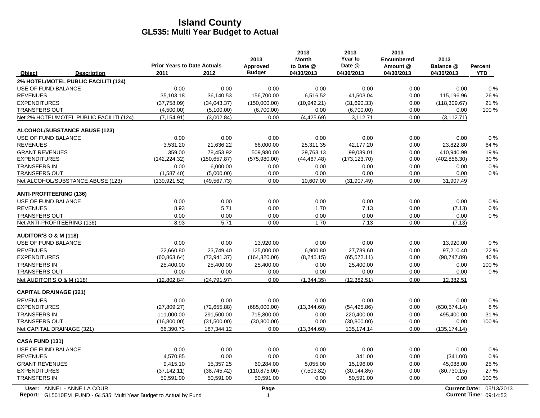|                                                                                                  | <b>Prior Years to Date Actuals</b> |               | 2013<br>Approved | 2013<br><b>Month</b><br>to Date @ | 2013<br>Year to<br>Date @ | 2013<br><b>Encumbered</b><br>Amount @ | 2013<br>Balance @ | <b>Percent</b>                                            |
|--------------------------------------------------------------------------------------------------|------------------------------------|---------------|------------------|-----------------------------------|---------------------------|---------------------------------------|-------------------|-----------------------------------------------------------|
| Object<br><b>Description</b>                                                                     | 2011                               | 2012          | <b>Budget</b>    | 04/30/2013                        | 04/30/2013                | 04/30/2013                            | 04/30/2013        | <b>YTD</b>                                                |
| 2% HOTEL/MOTEL PUBLIC FACILITI (124)                                                             |                                    |               |                  |                                   |                           |                                       |                   |                                                           |
| USE OF FUND BALANCE                                                                              | 0.00                               | 0.00          | 0.00             | 0.00                              | 0.00                      | 0.00                                  | 0.00              | $0\%$                                                     |
| <b>REVENUES</b>                                                                                  | 35,103.18                          | 36,140.53     | 156,700.00       | 6,516.52                          | 41,503.04                 | 0.00                                  | 115,196.96        | 26 %                                                      |
| <b>EXPENDITURES</b>                                                                              | (37,758.09)                        | (34,043.37)   | (150,000.00)     | (10, 942.21)                      | (31,690.33)               | 0.00                                  | (118, 309.67)     | 21 %                                                      |
| <b>TRANSFERS OUT</b>                                                                             | (4,500.00)                         | (5,100.00)    | (6,700.00)       | 0.00                              | (6,700.00)                | 0.00                                  | 0.00              | 100 %                                                     |
| Net 2% HOTEL/MOTEL PUBLIC FACILITI (124)                                                         | (7, 154.91)                        | (3,002.84)    | 0.00             | (4,425.69)                        | 3,112.71                  | 0.00                                  | (3, 112.71)       |                                                           |
| <b>ALCOHOL/SUBSTANCE ABUSE (123)</b>                                                             |                                    |               |                  |                                   |                           |                                       |                   |                                                           |
| USE OF FUND BALANCE                                                                              | 0.00                               | 0.00          | 0.00             | 0.00                              | 0.00                      | 0.00                                  | 0.00              | $0\%$                                                     |
| <b>REVENUES</b>                                                                                  | 3,531.20                           | 21,636.22     | 66,000.00        | 25,311.35                         | 42,177.20                 | 0.00                                  | 23,822.80         | 64 %                                                      |
| <b>GRANT REVENUES</b>                                                                            | 359.00                             | 78,453.92     | 509,980.00       | 29,763.13                         | 99,039.01                 | 0.00                                  | 410,940.99        | 19%                                                       |
| <b>EXPENDITURES</b>                                                                              | (142, 224.32)                      | (150, 657.87) | (575,980.00)     | (44, 467.48)                      | (173, 123.70)             | 0.00                                  | (402, 856.30)     | 30 %                                                      |
| <b>TRANSFERS IN</b>                                                                              | 0.00                               | 6,000.00      | 0.00             | 0.00                              | 0.00                      | 0.00                                  | 0.00              | $0\%$                                                     |
| <b>TRANSFERS OUT</b>                                                                             | (1,587.40)                         | (5,000.00)    | 0.00             | 0.00                              | 0.00                      | 0.00                                  | 0.00              | $0\%$                                                     |
| Net ALCOHOL/SUBSTANCE ABUSE (123)                                                                | (139.921.52)                       | (49, 567.73)  | 0.00             | 10,607.00                         | (31, 907.49)              | 0.00                                  | 31,907.49         |                                                           |
| <b>ANTI-PROFITEERING (136)</b>                                                                   |                                    |               |                  |                                   |                           |                                       |                   |                                                           |
| USE OF FUND BALANCE                                                                              | 0.00                               | 0.00          | 0.00             | 0.00                              | 0.00                      | 0.00                                  | 0.00              | 0%                                                        |
| <b>REVENUES</b>                                                                                  | 8.93                               | 5.71          | 0.00             | 1.70                              | 7.13                      | 0.00                                  | (7.13)            | 0%                                                        |
| <b>TRANSFERS OUT</b>                                                                             | 0.00                               | 0.00          | 0.00             | 0.00                              | 0.00                      | 0.00                                  | 0.00              | $0\%$                                                     |
| Net ANTI-PROFITEERING (136)                                                                      | 8.93                               | 5.71          | 0.00             | 1.70                              | 7.13                      | 0.00                                  | (7.13)            |                                                           |
| <b>AUDITOR'S O &amp; M (118)</b>                                                                 |                                    |               |                  |                                   |                           |                                       |                   |                                                           |
| USE OF FUND BALANCE                                                                              | 0.00                               | 0.00          | 13,920.00        | 0.00                              | 0.00                      | 0.00                                  | 13,920.00         | $0\%$                                                     |
| <b>REVENUES</b>                                                                                  | 22,660.80                          | 23,749.40     | 125,000.00       | 6,900.80                          | 27,789.60                 | 0.00                                  | 97,210.40         | 22 %                                                      |
| <b>EXPENDITURES</b>                                                                              | (60, 863.64)                       | (73, 941.37)  | (164, 320.00)    | (8, 245.15)                       | (65, 572.11)              | 0.00                                  | (98, 747.89)      | 40 %                                                      |
| <b>TRANSFERS IN</b>                                                                              | 25,400.00                          | 25,400.00     | 25,400.00        | 0.00                              | 25,400.00                 | 0.00                                  | 0.00              | 100 %                                                     |
| <b>TRANSFERS OUT</b>                                                                             | 0.00                               | 0.00          | 0.00             | 0.00                              | 0.00                      | 0.00                                  | 0.00              | $0\%$                                                     |
| Net AUDITOR'S O & M (118)                                                                        | (12,802.84)                        | (24, 791.97)  | 0.00             | (1,344.35)                        | (12, 382.51)              | 0.00                                  | 12,382.51         |                                                           |
| <b>CAPITAL DRAINAGE (321)</b>                                                                    |                                    |               |                  |                                   |                           |                                       |                   |                                                           |
| <b>REVENUES</b>                                                                                  | 0.00                               | 0.00          | 0.00             | 0.00                              | 0.00                      | 0.00                                  | 0.00              | 0%                                                        |
| <b>EXPENDITURES</b>                                                                              | (27,809.27)                        | (72,655.88)   | (685,000.00)     | (13, 344.60)                      | (54, 425.86)              | 0.00                                  | (630, 574.14)     | 8%                                                        |
| <b>TRANSFERS IN</b>                                                                              | 111,000.00                         | 291,500.00    | 715,800.00       | 0.00                              | 220,400.00                | 0.00                                  | 495,400.00        | 31 %                                                      |
| <b>TRANSFERS OUT</b>                                                                             | (16,800.00)                        | (31,500.00)   | (30,800.00)      | 0.00                              | (30,800.00)               | 0.00                                  | 0.00              | 100 %                                                     |
| Net CAPITAL DRAINAGE (321)                                                                       | 66,390.73                          | 187,344.12    | 0.00             | (13, 344.60)                      | 135, 174. 14              | 0.00                                  | (135, 174.14)     |                                                           |
| <b>CASA FUND (131)</b>                                                                           |                                    |               |                  |                                   |                           |                                       |                   |                                                           |
| USE OF FUND BALANCE                                                                              | 0.00                               | 0.00          | 0.00             | 0.00                              | 0.00                      | 0.00                                  | 0.00              | $0\%$                                                     |
| <b>REVENUES</b>                                                                                  | 4,570.85                           | 0.00          | 0.00             | 0.00                              | 341.00                    | 0.00                                  | (341.00)          | 0%                                                        |
| <b>GRANT REVENUES</b>                                                                            | 9,415.10                           | 15,357.25     | 60,284.00        | 5,055.00                          | 15,196.00                 | 0.00                                  | 45,088.00         | 25 %                                                      |
| <b>EXPENDITURES</b>                                                                              | (37, 142.11)                       | (38, 745.42)  | (110, 875.00)    | (7,503.82)                        | (30, 144.85)              | 0.00                                  | (80, 730.15)      | 27 %                                                      |
| <b>TRANSFERS IN</b>                                                                              | 50,591.00                          | 50,591.00     | 50,591.00        | 0.00                              | 50,591.00                 | 0.00                                  | 0.00              | 100 %                                                     |
| User: ANNEL - ANNE LA COUR<br>Report: GL5010EM_FUND - GL535: Multi Year Budget to Actual by Fund |                                    |               | Page<br>1        |                                   |                           |                                       |                   | Current Date: 05/13/2013<br><b>Current Time: 09:14:53</b> |

**Report:** GL5010EM\_FUND - GL535: Multi Year Budget to Actual by Fund 09:14:53 **Current Time:** 09:14:53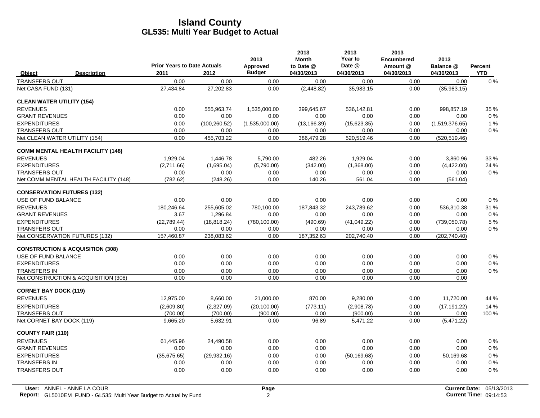|                                             |                    | <b>Prior Years to Date Actuals</b> |               | 2013<br>Approved | 2013<br><b>Month</b><br>to Date @ | 2013<br>Year to<br>Date @ | 2013<br><b>Encumbered</b><br>Amount @ | 2013<br>Balance @ | Percent    |
|---------------------------------------------|--------------------|------------------------------------|---------------|------------------|-----------------------------------|---------------------------|---------------------------------------|-------------------|------------|
| Object                                      | <b>Description</b> | 2011                               | 2012          | <b>Budget</b>    | 04/30/2013                        | 04/30/2013                | 04/30/2013                            | 04/30/2013        | <b>YTD</b> |
| <b>TRANSFERS OUT</b>                        |                    | 0.00                               | 0.00          | 0.00             | 0.00                              | 0.00                      | 0.00                                  | 0.00              | $0\%$      |
| Net CASA FUND (131)                         |                    | 27,434.84                          | 27,202.83     | 0.00             | (2, 448.82)                       | 35,983.15                 | 0.00                                  | (35,983.15)       |            |
| <b>CLEAN WATER UTILITY (154)</b>            |                    |                                    |               |                  |                                   |                           |                                       |                   |            |
| <b>REVENUES</b>                             |                    | 0.00                               | 555.963.74    | 1,535,000.00     | 399,645.67                        | 536,142.81                | 0.00                                  | 998.857.19        | 35 %       |
| <b>GRANT REVENUES</b>                       |                    | 0.00                               | 0.00          | 0.00             | 0.00                              | 0.00                      | 0.00                                  | 0.00              | $0\%$      |
| <b>EXPENDITURES</b>                         |                    | 0.00                               | (100, 260.52) | (1,535,000.00)   | (13, 166.39)                      | (15,623.35)               | 0.00                                  | (1,519,376.65)    | 1%         |
| <b>TRANSFERS OUT</b>                        |                    | 0.00                               | 0.00          | 0.00             | 0.00                              | 0.00                      | 0.00                                  | 0.00              | $0\%$      |
| Net CLEAN WATER UTILITY (154)               |                    | 0.00                               | 455,703.22    | 0.00             | 386,479.28                        | 520,519.46                | 0.00                                  | (520, 519.46)     |            |
| <b>COMM MENTAL HEALTH FACILITY (148)</b>    |                    |                                    |               |                  |                                   |                           |                                       |                   |            |
| <b>REVENUES</b>                             |                    | 1,929.04                           | 1.446.78      | 5,790.00         | 482.26                            | 1,929.04                  | 0.00                                  | 3,860.96          | 33 %       |
| <b>EXPENDITURES</b>                         |                    | (2,711.66)                         | (1,695.04)    | (5,790.00)       | (342.00)                          | (1,368.00)                | 0.00                                  | (4,422.00)        | 24 %       |
| <b>TRANSFERS OUT</b>                        |                    | 0.00                               | 0.00          | 0.00             | 0.00                              | 0.00                      | 0.00                                  | 0.00              | $0\%$      |
| Net COMM MENTAL HEALTH FACILITY (148)       |                    | (782.62)                           | (248.26)      | 0.00             | 140.26                            | 561.04                    | 0.00                                  | (561.04)          |            |
| <b>CONSERVATION FUTURES (132)</b>           |                    |                                    |               |                  |                                   |                           |                                       |                   |            |
| USE OF FUND BALANCE                         |                    | 0.00                               | 0.00          | 0.00             | 0.00                              | 0.00                      | 0.00                                  | 0.00              | $0\%$      |
| <b>REVENUES</b>                             |                    | 180.246.64                         | 255.605.02    | 780.100.00       | 187,843.32                        | 243.789.62                | 0.00                                  | 536.310.38        | 31 %       |
| <b>GRANT REVENUES</b>                       |                    | 3.67                               | 1,296.84      | 0.00             | 0.00                              | 0.00                      | 0.00                                  | 0.00              | $0\%$      |
| <b>EXPENDITURES</b>                         |                    | (22,789.44)                        | (18, 818.24)  | (780, 100.00)    | (490.69)                          | (41,049.22)               | 0.00                                  | (739,050.78)      | 5 %        |
| <b>TRANSFERS OUT</b>                        |                    | 0.00                               | 0.00          | 0.00             | 0.00                              | 0.00                      | 0.00                                  | 0.00              | $0\%$      |
| Net CONSERVATION FUTURES (132)              |                    | 157,460.87                         | 238,083.62    | 0.00             | 187,352.63                        | 202,740.40                | 0.00                                  | (202, 740.40)     |            |
| <b>CONSTRUCTION &amp; ACQUISITION (308)</b> |                    |                                    |               |                  |                                   |                           |                                       |                   |            |
| USE OF FUND BALANCE                         |                    | 0.00                               | 0.00          | 0.00             | 0.00                              | 0.00                      | 0.00                                  | 0.00              | $0\%$      |
| <b>EXPENDITURES</b>                         |                    | 0.00                               | 0.00          | 0.00             | 0.00                              | 0.00                      | 0.00                                  | 0.00              | $0\%$      |
| <b>TRANSFERS IN</b>                         |                    | 0.00                               | 0.00          | 0.00             | 0.00                              | 0.00                      | 0.00                                  | 0.00              | $0\%$      |
| Net CONSTRUCTION & ACQUISITION (308)        |                    | 0.00                               | 0.00          | 0.00             | 0.00                              | 0.00                      | 0.00                                  | 0.00              |            |
| <b>CORNET BAY DOCK (119)</b>                |                    |                                    |               |                  |                                   |                           |                                       |                   |            |
| <b>REVENUES</b>                             |                    | 12.975.00                          | 8.660.00      | 21,000.00        | 870.00                            | 9.280.00                  | 0.00                                  | 11,720.00         | 44 %       |
| <b>EXPENDITURES</b>                         |                    | (2,609.80)                         | (2,327.09)    | (20, 100.00)     | (773.11)                          | (2,908.78)                | 0.00                                  | (17, 191.22)      | 14 %       |
| <b>TRANSFERS OUT</b>                        |                    | (700.00)                           | (700.00)      | (900.00)         | 0.00                              | (900.00)                  | 0.00                                  | 0.00              | 100 %      |
| Net CORNET BAY DOCK (119)                   |                    | 9.665.20                           | 5,632.91      | 0.00             | 96.89                             | 5.471.22                  | 0.00                                  | (5,471.22)        |            |
| <b>COUNTY FAIR (110)</b>                    |                    |                                    |               |                  |                                   |                           |                                       |                   |            |
| <b>REVENUES</b>                             |                    | 61,445.96                          | 24,490.58     | 0.00             | 0.00                              | 0.00                      | 0.00                                  | 0.00              | $0\%$      |
| <b>GRANT REVENUES</b>                       |                    | 0.00                               | 0.00          | 0.00             | 0.00                              | 0.00                      | 0.00                                  | 0.00              | 0%         |
| <b>EXPENDITURES</b>                         |                    | (35,675.65)                        | (29, 932, 16) | 0.00             | 0.00                              | (50, 169.68)              | 0.00                                  | 50,169.68         | $0\%$      |
| <b>TRANSFERS IN</b>                         |                    | 0.00                               | 0.00          | 0.00             | 0.00                              | 0.00                      | 0.00                                  | 0.00              | 0%         |
| <b>TRANSFERS OUT</b>                        |                    | 0.00                               | 0.00          | 0.00             | 0.00                              | 0.00                      | 0.00                                  | 0.00              | 0%         |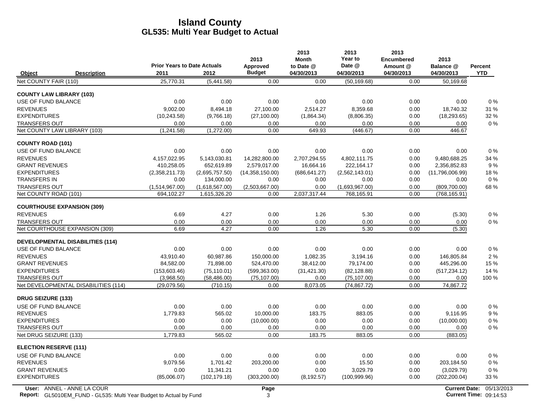|                                               |                                    |                                | 2013                   | 2013<br><b>Month</b> | 2013<br>Year to              | 2013<br><b>Encumbered</b> | 2013                           |                |
|-----------------------------------------------|------------------------------------|--------------------------------|------------------------|----------------------|------------------------------|---------------------------|--------------------------------|----------------|
|                                               | <b>Prior Years to Date Actuals</b> |                                | Approved               | to Date @            | Date @                       | Amount @                  | Balance @                      | <b>Percent</b> |
| Object<br><b>Description</b>                  | 2011                               | 2012                           | <b>Budget</b>          | 04/30/2013           | 04/30/2013                   | 04/30/2013                | 04/30/2013                     | <b>YTD</b>     |
| Net COUNTY FAIR (110)                         | 25,770.31                          | (5,441.58)                     | 0.00                   | 0.00                 | (50, 169.68)                 | 0.00                      | 50,169.68                      |                |
| <b>COUNTY LAW LIBRARY (103)</b>               |                                    |                                |                        |                      |                              |                           |                                |                |
| USE OF FUND BALANCE                           | 0.00                               | 0.00                           | 0.00                   | 0.00                 | 0.00                         | 0.00                      | 0.00                           | $0\%$          |
| <b>REVENUES</b>                               | 9.002.00                           | 8,494.18                       | 27,100.00              | 2,514.27             | 8,359.68                     | 0.00                      | 18,740.32                      | 31 %           |
| <b>EXPENDITURES</b>                           | (10, 243.58)                       | (9,766.18)                     | (27, 100.00)           | (1,864.34)           | (8,806.35)                   | 0.00                      | (18, 293.65)                   | 32 %           |
| <b>TRANSFERS OUT</b>                          | 0.00                               | 0.00                           | 0.00                   | 0.00                 | 0.00                         | 0.00                      | 0.00                           | 0%             |
| Net COUNTY LAW LIBRARY (103)                  | (1,241.58)                         | (1,272.00)                     | 0.00                   | 649.93               | (446.67)                     | 0.00                      | 446.67                         |                |
| <b>COUNTY ROAD (101)</b>                      |                                    |                                |                        |                      |                              |                           |                                |                |
| USE OF FUND BALANCE                           | 0.00                               | 0.00                           | 0.00                   | 0.00                 | 0.00                         | 0.00                      | 0.00                           | $0\%$          |
| <b>REVENUES</b>                               | 4.157.022.95                       | 5.143.030.81                   | 14,282,800.00          | 2,707,294.55         | 4,802,111.75                 | 0.00                      | 9.480.688.25                   | 34 %           |
| <b>GRANT REVENUES</b>                         | 410,258.05                         | 652,619.89                     | 2,579,017.00           | 16,664.16            | 222,164.17                   | 0.00                      | 2,356,852.83                   | 9%             |
| <b>EXPENDITURES</b>                           | (2,358,211.73)                     | (2,695,757.50)                 | (14,358,150.00)        | (686, 641.27)        | (2,562,143.01)               | 0.00                      | (11,796,006.99)                | 18%            |
| <b>TRANSFERS IN</b>                           | 0.00                               | 134,000.00                     | 0.00                   | 0.00                 | 0.00                         | 0.00                      | 0.00                           | $0\%$          |
| <b>TRANSFERS OUT</b><br>Net COUNTY ROAD (101) | (1,514,967.00)<br>694,102.27       | (1,618,567.00)<br>1,615,326.20 | (2,503,667.00)<br>0.00 | 0.00<br>2,037,317.44 | (1,693,967.00)<br>768,165.91 | 0.00<br>0.00              | (809, 700.00)<br>(768, 165.91) | 68%            |
|                                               |                                    |                                |                        |                      |                              |                           |                                |                |
| <b>COURTHOUSE EXPANSION (309)</b>             |                                    |                                |                        |                      |                              |                           |                                |                |
| <b>REVENUES</b>                               | 6.69                               | 4.27                           | 0.00                   | 1.26                 | 5.30                         | 0.00                      | (5.30)                         | $0\%$          |
| <b>TRANSFERS OUT</b>                          | 0.00                               | 0.00                           | 0.00                   | 0.00                 | 0.00                         | 0.00                      | 0.00                           | 0%             |
| Net COURTHOUSE EXPANSION (309)                | 6.69                               | 4.27                           | 0.00                   | 1.26                 | 5.30                         | 0.00                      | (5.30)                         |                |
| <b>DEVELOPMENTAL DISABILITIES (114)</b>       |                                    |                                |                        |                      |                              |                           |                                |                |
| USE OF FUND BALANCE                           | 0.00                               | 0.00                           | 0.00                   | 0.00                 | 0.00                         | 0.00                      | 0.00                           | 0%             |
| <b>REVENUES</b>                               | 43.910.40                          | 60,987.86                      | 150.000.00             | 1.082.35             | 3.194.16                     | 0.00                      | 146.805.84                     | 2%             |
| <b>GRANT REVENUES</b>                         | 84,582.00                          | 71,898.00                      | 524,470.00             | 38,412.00            | 79,174.00                    | 0.00                      | 445,296.00                     | 15%            |
| <b>EXPENDITURES</b>                           | (153,603.46)                       | (75, 110.01)                   | (599, 363.00)          | (31, 421.30)         | (82, 128.88)                 | 0.00                      | (517, 234.12)                  | 14 %           |
| <b>TRANSFERS OUT</b>                          | (3,968.50)                         | (58, 486.00)                   | (75, 107.00)           | 0.00                 | (75, 107.00)                 | 0.00                      | 0.00                           | 100 %          |
| Net DEVELOPMENTAL DISABILITIES (114)          | (29,079.56)                        | (710.15)                       | 0.00                   | 8,073.05             | (74, 867.72)                 | 0.00                      | 74,867.72                      |                |
| <b>DRUG SEIZURE (133)</b>                     |                                    |                                |                        |                      |                              |                           |                                |                |
| USE OF FUND BALANCE                           | 0.00                               | 0.00                           | 0.00                   | 0.00                 | 0.00                         | 0.00                      | 0.00                           | $0\%$          |
| <b>REVENUES</b>                               | 1.779.83                           | 565.02                         | 10,000.00              | 183.75               | 883.05                       | 0.00                      | 9,116.95                       | 9%             |
| <b>EXPENDITURES</b>                           | 0.00                               | 0.00                           | (10,000.00)            | 0.00                 | 0.00                         | 0.00                      | (10,000.00)                    | $0\%$          |
| <b>TRANSFERS OUT</b>                          | 0.00                               | 0.00                           | 0.00                   | 0.00                 | 0.00                         | 0.00                      | 0.00                           | 0%             |
| Net DRUG SEIZURE (133)                        | 1,779.83                           | 565.02                         | 0.00                   | 183.75               | 883.05                       | 0.00                      | (883.05)                       |                |
| <b>ELECTION RESERVE (111)</b>                 |                                    |                                |                        |                      |                              |                           |                                |                |
| USE OF FUND BALANCE                           | 0.00                               | 0.00                           | 0.00                   | 0.00                 | 0.00                         | 0.00                      | 0.00                           | $0\%$          |
| <b>REVENUES</b>                               | 9,079.56                           | 1,701.42                       | 203,200.00             | 0.00                 | 15.50                        | 0.00                      | 203,184.50                     | 0%             |
| <b>GRANT REVENUES</b>                         | 0.00                               | 11,341.21                      | 0.00                   | 0.00                 | 3.029.79                     | 0.00                      | (3,029.79)                     | $0\%$          |
| <b>EXPENDITURES</b>                           | (85,006.07)                        | (102, 179.18)                  | (303, 200.00)          | (8, 192.57)          | (100, 999.96)                | 0.00                      | (202, 200.04)                  | 33 %           |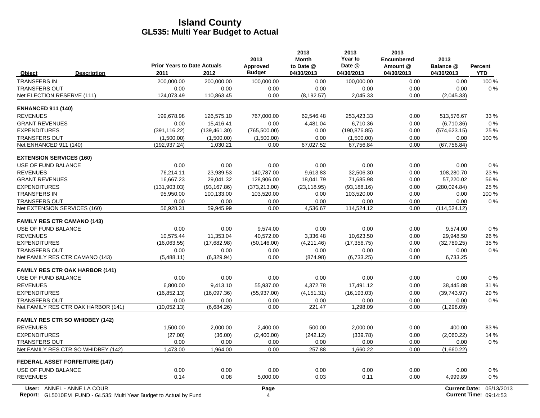|                                        |                                                                           | <b>Prior Years to Date Actuals</b> |               | 2013<br>Approved | 2013<br><b>Month</b><br>to Date @ | 2013<br>Year to<br>Date @ | 2013<br><b>Encumbered</b><br>Amount @ | 2013<br>Balance @    | <b>Percent</b>         |
|----------------------------------------|---------------------------------------------------------------------------|------------------------------------|---------------|------------------|-----------------------------------|---------------------------|---------------------------------------|----------------------|------------------------|
| <b>Object</b>                          | <b>Description</b>                                                        | 2011                               | 2012          | <b>Budget</b>    | 04/30/2013                        | 04/30/2013                | 04/30/2013                            | 04/30/2013           | <b>YTD</b>             |
| <b>TRANSFERS IN</b>                    |                                                                           | 200,000.00                         | 200,000.00    | 100,000.00       | 0.00                              | 100,000.00                | 0.00                                  | 0.00                 | 100 %                  |
| <b>TRANSFERS OUT</b>                   |                                                                           | 0.00                               | 0.00          | 0.00             | 0.00                              | 0.00                      | 0.00                                  | 0.00                 | 0%                     |
| Net ELECTION RESERVE (111)             |                                                                           | 124,073.49                         | 110,863.45    | 0.00             | (8, 192.57)                       | 2,045.33                  | 0.00                                  | (2,045.33)           |                        |
| <b>ENHANCED 911 (140)</b>              |                                                                           |                                    |               |                  |                                   |                           |                                       |                      |                        |
| <b>REVENUES</b>                        |                                                                           | 199,678.98                         | 126,575.10    | 767,000.00       | 62,546.48                         | 253,423.33                | 0.00                                  | 513,576.67           | 33 %                   |
| <b>GRANT REVENUES</b>                  |                                                                           | 0.00                               | 15,416.41     | 0.00             | 4,481.04                          | 6,710.36                  | 0.00                                  | (6,710.36)           | $0\%$                  |
| <b>EXPENDITURES</b>                    |                                                                           | (391,116.22)                       | (139, 461.30) | (765,500.00)     | 0.00                              | (190, 876.85)             | 0.00                                  | (574, 623.15)        | 25 %                   |
| <b>TRANSFERS OUT</b>                   |                                                                           | (1,500.00)                         | (1,500.00)    | (1,500.00)       | 0.00                              | (1,500.00)                | 0.00                                  | 0.00                 | 100 %                  |
| Net ENHANCED 911 (140)                 |                                                                           | (192, 937.24)                      | 1,030.21      | 0.00             | 67,027.52                         | 67,756.84                 | 0.00                                  | (67, 756.84)         |                        |
| <b>EXTENSION SERVICES (160)</b>        |                                                                           |                                    |               |                  |                                   |                           |                                       |                      |                        |
| USE OF FUND BALANCE                    |                                                                           | 0.00                               | 0.00          | 0.00             | 0.00                              | 0.00                      | 0.00                                  | 0.00                 | $0\%$                  |
| <b>REVENUES</b>                        |                                                                           | 76,214.11                          | 23.939.53     | 140.787.00       | 9.613.83                          | 32,506.30                 | 0.00                                  | 108,280.70           | 23%                    |
| <b>GRANT REVENUES</b>                  |                                                                           | 16,667.23                          | 29,041.32     | 128,906.00       | 18,041.79                         | 71,685.98                 | 0.00                                  | 57,220.02            | 56 %                   |
| <b>EXPENDITURES</b>                    |                                                                           | (131, 903.03)                      | (93, 167.86)  | (373, 213.00)    | (23, 118.95)                      | (93, 188.16)              | 0.00                                  | (280, 024.84)        | 25 %                   |
| <b>TRANSFERS IN</b>                    |                                                                           | 95,950.00                          | 100,133.00    | 103,520.00       | 0.00                              | 103,520.00                | 0.00                                  | 0.00                 | 100 %                  |
| <b>TRANSFERS OUT</b>                   |                                                                           | 0.00                               | 0.00          | 0.00             | 0.00                              | 0.00                      | 0.00                                  | 0.00                 | 0%                     |
| Net EXTENSION SERVICES (160)           |                                                                           | 56,928.31                          | 59,945.99     | 0.00             | 4,536.67                          | 114,524.12                | 0.00                                  | (114, 524.12)        |                        |
| <b>FAMILY RES CTR CAMANO (143)</b>     |                                                                           |                                    |               |                  |                                   |                           |                                       |                      |                        |
| USE OF FUND BALANCE                    |                                                                           | 0.00                               | 0.00          | 9,574.00         | 0.00                              | 0.00                      | 0.00                                  | 9,574.00             | 0%                     |
| <b>REVENUES</b>                        |                                                                           | 10,575.44                          | 11,353.04     | 40,572.00        | 3,336.48                          | 10,623.50                 | 0.00                                  | 29,948.50            | 26 %                   |
| <b>EXPENDITURES</b>                    |                                                                           | (16,063.55)                        | (17,682.98)   | (50, 146.00)     | (4,211.46)                        | (17, 356.75)              | 0.00                                  | (32,789.25)          | 35 %                   |
| <b>TRANSFERS OUT</b>                   |                                                                           | 0.00                               | 0.00          | 0.00             | 0.00                              | 0.00                      | 0.00                                  | 0.00                 | 0%                     |
| Net FAMILY RES CTR CAMANO (143)        |                                                                           | (5,488.11)                         | (6,329.94)    | 0.00             | (874.98)                          | (6,733.25)                | 0.00                                  | 6,733.25             |                        |
| <b>FAMILY RES CTR OAK HARBOR (141)</b> |                                                                           |                                    |               |                  |                                   |                           |                                       |                      |                        |
| USE OF FUND BALANCE                    |                                                                           | 0.00                               | 0.00          | 0.00             | 0.00                              | 0.00                      | 0.00                                  | 0.00                 | $0\%$                  |
| <b>REVENUES</b>                        |                                                                           | 6.800.00                           | 9,413.10      | 55.937.00        | 4.372.78                          | 17.491.12                 | 0.00                                  | 38,445.88            | 31 %                   |
| <b>EXPENDITURES</b>                    |                                                                           | (16, 852.13)                       | (16,097.36)   | (55, 937.00)     | (4, 151.31)                       | (16, 193.03)              | 0.00                                  | (39,743.97)          | 29 %                   |
| <b>TRANSFERS OUT</b>                   |                                                                           | 0.00                               | 0.00          | 0.00             | 0.00                              | 0.00                      | 0.00                                  | 0.00                 | $0\%$                  |
|                                        | Net FAMILY RES CTR OAK HARBOR (141)                                       | (10,052.13)                        | (6,684.26)    | 0.00             | 221.47                            | 1.298.09                  | 0.00                                  | (1,298.09)           |                        |
| <b>FAMILY RES CTR SO WHIDBEY (142)</b> |                                                                           |                                    |               |                  |                                   |                           |                                       |                      |                        |
| <b>REVENUES</b>                        |                                                                           | 1,500.00                           | 2,000.00      | 2,400.00         | 500.00                            | 2,000.00                  | 0.00                                  | 400.00               | 83%                    |
| <b>EXPENDITURES</b>                    |                                                                           | (27.00)                            | (36.00)       | (2,400.00)       | (242.12)                          | (339.78)                  | 0.00                                  | (2,060.22)           | 14 %                   |
| <b>TRANSFERS OUT</b>                   |                                                                           | 0.00                               | 0.00          | 0.00             | 0.00                              | 0.00                      | 0.00                                  | 0.00                 | $0\%$                  |
| Net FAMILY RES CTR SO WHIDBEY (142)    |                                                                           | 1,473.00                           | 1,964.00      | 0.00             | 257.88                            | 1,660.22                  | 0.00                                  | (1,660.22)           |                        |
| <b>FEDERAL ASSET FORFEITURE (147)</b>  |                                                                           |                                    |               |                  |                                   |                           |                                       |                      |                        |
| USE OF FUND BALANCE                    |                                                                           | 0.00                               | 0.00          | 0.00             | 0.00                              | 0.00                      | 0.00                                  | 0.00                 | 0%                     |
| <b>REVENUES</b>                        |                                                                           | 0.14                               | 0.08          | 5,000.00         | 0.03                              | 0.11                      | 0.00                                  | 4,999.89             | 0%                     |
| User: ANNEL - ANNE LA COUR             |                                                                           |                                    |               | Page             |                                   |                           |                                       | <b>Current Date:</b> | 05/13/2013             |
|                                        | <b>Report:</b> GL5010EM_FUND - GL535: Multi Year Budget to Actual by Fund |                                    |               | 4                |                                   |                           |                                       |                      | Current Time: 09:14:53 |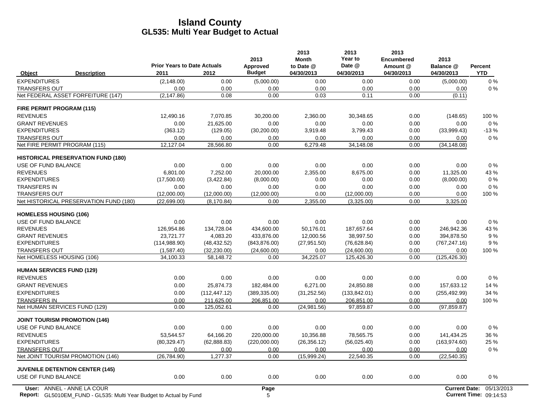|                                           | <b>Prior Years to Date Actuals</b> |               | 2013<br>Approved | 2013<br><b>Month</b><br>to Date @ | 2013<br>Year to<br>Date @ | 2013<br><b>Encumbered</b><br>Amount @ | 2013<br>Balance @    | Percent    |
|-------------------------------------------|------------------------------------|---------------|------------------|-----------------------------------|---------------------------|---------------------------------------|----------------------|------------|
| <b>Description</b><br>Object              | 2011                               | 2012          | <b>Budget</b>    | 04/30/2013                        | 04/30/2013                | 04/30/2013                            | 04/30/2013           | <b>YTD</b> |
| <b>EXPENDITURES</b>                       | (2, 148.00)                        | 0.00          | (5,000.00)       | 0.00                              | 0.00                      | 0.00                                  | (5,000.00)           | 0%         |
| <b>TRANSFERS OUT</b>                      | 0.00                               | 0.00          | 0.00             | 0.00                              | 0.00                      | 0.00                                  | 0.00                 | 0%         |
| Net FEDERAL ASSET FORFEITURE (147)        | (2, 147.86)                        | 0.08          | 0.00             | 0.03                              | 0.11                      | 0.00                                  | (0.11)               |            |
| FIRE PERMIT PROGRAM (115)                 |                                    |               |                  |                                   |                           |                                       |                      |            |
| <b>REVENUES</b>                           | 12,490.16                          | 7,070.85      | 30,200.00        | 2,360.00                          | 30,348.65                 | 0.00                                  | (148.65)             | 100 %      |
| <b>GRANT REVENUES</b>                     | 0.00                               | 21.625.00     | 0.00             | 0.00                              | 0.00                      | 0.00                                  | 0.00                 | $0\%$      |
| <b>EXPENDITURES</b>                       | (363.12)                           | (129.05)      | (30, 200.00)     | 3,919.48                          | 3,799.43                  | 0.00                                  | (33,999.43)          | $-13%$     |
| <b>TRANSFERS OUT</b>                      | 0.00                               | 0.00          | 0.00             | 0.00                              | 0.00                      | 0.00                                  | 0.00                 | $0\%$      |
| Net FIRE PERMIT PROGRAM (115)             | 12,127.04                          | 28,566.80     | 0.00             | 6,279.48                          | 34,148.08                 | 0.00                                  | (34, 148.08)         |            |
| <b>HISTORICAL PRESERVATION FUND (180)</b> |                                    |               |                  |                                   |                           |                                       |                      |            |
| USE OF FUND BALANCE                       | 0.00                               | 0.00          | 0.00             | 0.00                              | 0.00                      | 0.00                                  | 0.00                 | 0%         |
| <b>REVENUES</b>                           | 6,801.00                           | 7,252.00      | 20,000.00        | 2,355.00                          | 8,675.00                  | 0.00                                  | 11,325.00            | 43 %       |
| <b>EXPENDITURES</b>                       | (17,500.00)                        | (3,422.84)    | (8,000.00)       | 0.00                              | 0.00                      | 0.00                                  | (8,000.00)           | 0%         |
| <b>TRANSFERS IN</b>                       | 0.00                               | 0.00          | 0.00             | 0.00                              | 0.00                      | 0.00                                  | 0.00                 | 0%         |
| <b>TRANSFERS OUT</b>                      | (12,000.00)                        | (12,000.00)   | (12,000.00)      | 0.00                              | (12,000.00)               | 0.00                                  | 0.00                 | 100 %      |
| Net HISTORICAL PRESERVATION FUND (180)    | (22,699.00)                        | (8, 170.84)   | 0.00             | 2,355.00                          | (3,325.00)                | 0.00                                  | 3,325.00             |            |
| <b>HOMELESS HOUSING (106)</b>             |                                    |               |                  |                                   |                           |                                       |                      |            |
| USE OF FUND BALANCE                       | 0.00                               | 0.00          | 0.00             | 0.00                              | 0.00                      | 0.00                                  | 0.00                 | 0%         |
| <b>REVENUES</b>                           | 126,954.86                         | 134,728.04    | 434,600.00       | 50,176.01                         | 187,657.64                | 0.00                                  | 246,942.36           | 43 %       |
| <b>GRANT REVENUES</b>                     | 23,721.77                          | 4,083.20      | 433,876.00       | 12,000.56                         | 38,997.50                 | 0.00                                  | 394,878.50           | 9%         |
| <b>EXPENDITURES</b>                       | (114,988.90)                       | (48, 432.52)  | (843, 876.00)    | (27, 951.50)                      | (76, 628.84)              | 0.00                                  | (767, 247.16)        | 9%         |
| <b>TRANSFERS OUT</b>                      | (1,587.40)                         | (32, 230.00)  | (24,600.00)      | 0.00                              | (24,600.00)               | 0.00                                  | 0.00                 | 100 %      |
| Net HOMELESS HOUSING (106)                | 34,100.33                          | 58,148.72     | 0.00             | 34,225.07                         | 125,426.30                | 0.00                                  | (125, 426.30)        |            |
| <b>HUMAN SERVICES FUND (129)</b>          |                                    |               |                  |                                   |                           |                                       |                      |            |
| <b>REVENUES</b>                           | 0.00                               | 0.00          | 0.00             | 0.00                              | 0.00                      | 0.00                                  | 0.00                 | 0%         |
| <b>GRANT REVENUES</b>                     | 0.00                               | 25,874.73     | 182.484.00       | 6.271.00                          | 24.850.88                 | 0.00                                  | 157,633.12           | 14 %       |
| <b>EXPENDITURES</b>                       | 0.00                               | (112, 447.12) | (389, 335.00)    | (31, 252.56)                      | (133, 842.01)             | 0.00                                  | (255, 492.99)        | 34 %       |
| <b>TRANSFERS IN</b>                       | 0.00                               | 211,625.00    | 206,851.00       | 0.00                              | 206,851.00                | 0.00                                  | 0.00                 | 100 %      |
| Net HUMAN SERVICES FUND (129)             | 0.00                               | 125,052.61    | 0.00             | (24, 981.56)                      | 97,859.87                 | 0.00                                  | (97, 859.87)         |            |
| <b>JOINT TOURISM PROMOTION (146)</b>      |                                    |               |                  |                                   |                           |                                       |                      |            |
| USE OF FUND BALANCE                       | 0.00                               | 0.00          | 0.00             | 0.00                              | 0.00                      | 0.00                                  | 0.00                 | $0\%$      |
| <b>REVENUES</b>                           | 53.544.57                          | 64.166.20     | 220.000.00       | 10.356.88                         | 78.565.75                 | 0.00                                  | 141.434.25           | 36 %       |
| <b>EXPENDITURES</b>                       | (80, 329.47)                       | (62,888.83)   | (220,000.00)     | (26, 356.12)                      | (56,025.40)               | 0.00                                  | (163, 974.60)        | 25 %       |
| <b>TRANSFERS OUT</b>                      | 0.00                               | 0.00          | 0.00             | 0.00                              | 0.00                      | 0.00                                  | 0.00                 | 0%         |
| Net JOINT TOURISM PROMOTION (146)         | (26, 784.90)                       | 1,277.37      | 0.00             | (15,999.24)                       | 22,540.35                 | 0.00                                  | (22, 540.35)         |            |
| <b>JUVENILE DETENTION CENTER (145)</b>    |                                    |               |                  |                                   |                           |                                       |                      |            |
| USE OF FUND BALANCE                       | 0.00                               | 0.00          | 0.00             | 0.00                              | 0.00                      | 0.00                                  | 0.00                 | 0%         |
| User: ANNEL - ANNE LA COUR                |                                    |               | Page             |                                   |                           |                                       | <b>Current Date:</b> | 05/13/2013 |

Report: GL5010EM\_FUND - GL535: Multi Year Budget to Actual by Fund **Current Time: 5 Actual 2012 12: Actual 201** GL5010EM\_FUND - GL535: Multi Year Budget to Actual by Fund 09:14:53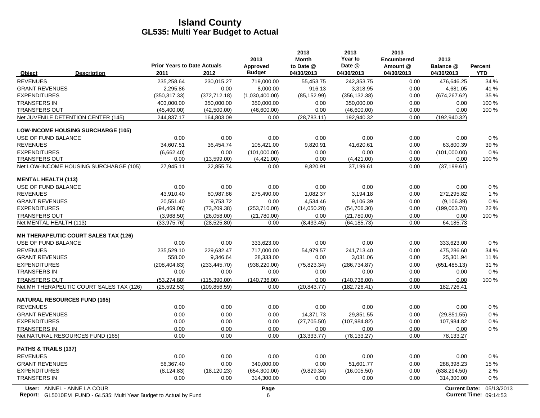|                                                                                                         | <b>Prior Years to Date Actuals</b> |               | 2013<br>Approved | 2013<br><b>Month</b><br>to Date @ | 2013<br>Year to<br>Date @ | 2013<br><b>Encumbered</b><br>Amount @ | 2013<br>Balance @    | Percent                              |
|---------------------------------------------------------------------------------------------------------|------------------------------------|---------------|------------------|-----------------------------------|---------------------------|---------------------------------------|----------------------|--------------------------------------|
| <b>Description</b><br>Object                                                                            | 2011                               | 2012          | <b>Budget</b>    | 04/30/2013                        | 04/30/2013                | 04/30/2013                            | 04/30/2013           | <b>YTD</b>                           |
| <b>REVENUES</b>                                                                                         | 235,258.64                         | 230,015.27    | 719,000.00       | 55,453.75                         | 242,353.75                | 0.00                                  | 476,646.25           | 34 %                                 |
| <b>GRANT REVENUES</b>                                                                                   | 2,295.86                           | 0.00          | 8,000.00         | 916.13                            | 3,318.95                  | 0.00                                  | 4,681.05             | 41 %                                 |
| <b>EXPENDITURES</b>                                                                                     | (350, 317.33)                      | (372, 712.18) | (1,030,400.00)   | (85, 152.99)                      | (356, 132.38)             | 0.00                                  | (674, 267.62)        | 35 %                                 |
| <b>TRANSFERS IN</b>                                                                                     | 403,000.00                         | 350.000.00    | 350.000.00       | 0.00                              | 350.000.00                | 0.00                                  | 0.00                 | 100 %                                |
| <b>TRANSFERS OUT</b>                                                                                    | (45, 400.00)                       | (42,500.00)   | (46,600.00)      | 0.00                              | (46,600.00)               | 0.00                                  | 0.00                 | 100 %                                |
| Net JUVENILE DETENTION CENTER (145)                                                                     | 244,837.17                         | 164,803.09    | 0.00             | (28, 783.11)                      | 192,940.32                | 0.00                                  | (192, 940.32)        |                                      |
| <b>LOW-INCOME HOUSING SURCHARGE (105)</b>                                                               |                                    |               |                  |                                   |                           |                                       |                      |                                      |
| USE OF FUND BALANCE                                                                                     | 0.00                               | 0.00          | 0.00             | 0.00                              | 0.00                      | 0.00                                  | 0.00                 | 0%                                   |
| <b>REVENUES</b>                                                                                         | 34,607.51                          | 36,454.74     | 105,421.00       | 9,820.91                          | 41,620.61                 | 0.00                                  | 63,800.39            | 39 %                                 |
| <b>EXPENDITURES</b>                                                                                     | (6,662.40)                         | 0.00          | (101,000.00)     | 0.00                              | 0.00                      | 0.00                                  | (101,000.00)         | $0\%$                                |
| <b>TRANSFERS OUT</b>                                                                                    | 0.00                               | (13,599.00)   | (4,421.00)       | 0.00                              | (4,421.00)                | 0.00                                  | 0.00                 | 100 %                                |
| Net LOW-INCOME HOUSING SURCHARGE (105)                                                                  | 27,945.11                          | 22,855.74     | 0.00             | 9,820.91                          | 37,199.61                 | 0.00                                  | (37, 199.61)         |                                      |
| <b>MENTAL HEALTH (113)</b>                                                                              |                                    |               |                  |                                   |                           |                                       |                      |                                      |
| USE OF FUND BALANCE                                                                                     | 0.00                               | 0.00          | 0.00             | 0.00                              | 0.00                      | 0.00                                  | 0.00                 | 0%                                   |
| <b>REVENUES</b>                                                                                         | 43,910.40                          | 60,987.86     | 275,490.00       | 1,082.37                          | 3,194.18                  | 0.00                                  | 272,295.82           | 1%                                   |
| <b>GRANT REVENUES</b>                                                                                   | 20,551.40                          | 9,753.72      | 0.00             | 4,534.46                          | 9,106.39                  | 0.00                                  | (9, 106.39)          | 0%                                   |
| <b>EXPENDITURES</b>                                                                                     | (94, 469.06)                       | (73, 209.38)  | (253,710.00)     | (14,050.28)                       | (54,706.30)               | 0.00                                  | (199,003.70)         | 22 %                                 |
| <b>TRANSFERS OUT</b>                                                                                    | (3,968.50)                         | (26,058.00)   | (21,780.00)      | 0.00                              | (21,780.00)               | 0.00                                  | 0.00                 | 100 %                                |
| Net MENTAL HEALTH (113)                                                                                 | (33,975.76)                        | (28, 525.80)  | 0.00             | (8,433.45)                        | (64, 185.73)              | 0.00                                  | 64,185.73            |                                      |
| <b>MH THERAPEUTIC COURT SALES TAX (126)</b>                                                             |                                    |               |                  |                                   |                           |                                       |                      |                                      |
| USE OF FUND BALANCE                                                                                     | 0.00                               | 0.00          | 333,623.00       | 0.00                              | 0.00                      | 0.00                                  | 333,623.00           | $0\%$                                |
| <b>REVENUES</b>                                                                                         | 235,529.10                         | 229,632.47    | 717,000.00       | 54,979.57                         | 241,713.40                | 0.00                                  | 475,286.60           | 34 %                                 |
| <b>GRANT REVENUES</b>                                                                                   | 558.00                             | 9,346.64      | 28,333.00        | 0.00                              | 3,031.06                  | 0.00                                  | 25,301.94            | 11 %                                 |
| <b>EXPENDITURES</b>                                                                                     | (208, 404.83)                      | (233, 445.70) | (938, 220.00)    | (75, 823.34)                      | (286, 734.87)             | 0.00                                  | (651, 485.13)        | 31 %                                 |
| <b>TRANSFERS IN</b>                                                                                     | 0.00                               | 0.00          | 0.00             | 0.00                              | 0.00                      | 0.00                                  | 0.00                 | $0\%$                                |
| <b>TRANSFERS OUT</b>                                                                                    | (53, 274.80)                       | (115, 390.00) | (140, 736.00)    | 0.00                              | (140, 736.00)             | 0.00                                  | 0.00                 | 100 %                                |
| Net MH THERAPEUTIC COURT SALES TAX (126)                                                                | (25, 592.53)                       | (109.856.59)  | 0.00             | (20, 843.77)                      | (182, 726.41)             | 0.00                                  | 182,726.41           |                                      |
| <b>NATURAL RESOURCES FUND (165)</b>                                                                     |                                    |               |                  |                                   |                           |                                       |                      |                                      |
| <b>REVENUES</b>                                                                                         | 0.00                               | 0.00          | 0.00             | 0.00                              | 0.00                      | 0.00                                  | 0.00                 | 0%                                   |
| <b>GRANT REVENUES</b>                                                                                   | 0.00                               | 0.00          | 0.00             | 14,371.73                         | 29,851.55                 | 0.00                                  | (29, 851.55)         | $0\%$                                |
| <b>EXPENDITURES</b>                                                                                     | 0.00                               | 0.00          | 0.00             | (27,705.50)                       | (107, 984.82)             | 0.00                                  | 107,984.82           | $0\%$                                |
| <b>TRANSFERS IN</b>                                                                                     | 0.00                               | 0.00          | 0.00             | 0.00                              | 0.00                      | 0.00                                  | 0.00                 | 0%                                   |
| Net NATURAL RESOURCES FUND (165)                                                                        | 0.00                               | 0.00          | 0.00             | (13, 333.77)                      | (78, 133.27)              | 0.00                                  | 78,133.27            |                                      |
| PATHS & TRAILS (137)                                                                                    |                                    |               |                  |                                   |                           |                                       |                      |                                      |
| <b>REVENUES</b>                                                                                         | 0.00                               | 0.00          | 0.00             | 0.00                              | 0.00                      | 0.00                                  | 0.00                 | 0%                                   |
| <b>GRANT REVENUES</b>                                                                                   | 56,367.40                          | 0.00          | 340,000.00       | 0.00                              | 51,601.77                 | 0.00                                  | 288,398.23           | 15 %                                 |
| <b>EXPENDITURES</b>                                                                                     | (8, 124.83)                        | (18, 120.23)  | (654, 300.00)    | (9,829.34)                        | (16,005.50)               | 0.00                                  | (638, 294.50)        | 2%                                   |
| <b>TRANSFERS IN</b>                                                                                     | 0.00                               | 0.00          | 314,300.00       | 0.00                              | 0.00                      | 0.00                                  | 314,300.00           | 0%                                   |
| User: ANNEL - ANNE LA COUR<br><b>Report:</b> GL5010EM_FUND - GL535: Multi Year Budget to Actual by Fund |                                    |               | Page<br>6        |                                   |                           |                                       | <b>Current Date:</b> | 05/13/2013<br>Current Time: 09:14:53 |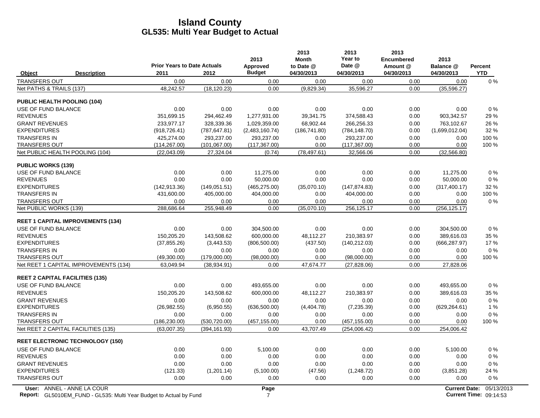|                                    |                                                                                                  | <b>Prior Years to Date Actuals</b> |               | 2013<br>Approved       | 2013<br><b>Month</b><br>to Date @ | 2013<br>Year to<br>Date @ | 2013<br><b>Encumbered</b><br>Amount @ | 2013<br>Balance @    | Percent                              |
|------------------------------------|--------------------------------------------------------------------------------------------------|------------------------------------|---------------|------------------------|-----------------------------------|---------------------------|---------------------------------------|----------------------|--------------------------------------|
| <b>Object</b>                      | <b>Description</b>                                                                               | 2011                               | 2012          | <b>Budget</b>          | 04/30/2013                        | 04/30/2013                | 04/30/2013                            | 04/30/2013           | <b>YTD</b>                           |
| <b>TRANSFERS OUT</b>               |                                                                                                  | 0.00                               | 0.00          | 0.00                   | 0.00                              | 0.00                      | 0.00                                  | 0.00                 | $0\%$                                |
| Net PATHS & TRAILS (137)           |                                                                                                  | 48,242.57                          | (18, 120.23)  | 0.00                   | (9,829.34)                        | 35,596.27                 | 0.00                                  | (35,596.27)          |                                      |
| <b>PUBLIC HEALTH POOLING (104)</b> |                                                                                                  |                                    |               |                        |                                   |                           |                                       |                      |                                      |
| USE OF FUND BALANCE                |                                                                                                  | 0.00                               | 0.00          | 0.00                   | 0.00                              | 0.00                      | 0.00                                  | 0.00                 | $0\%$                                |
| <b>REVENUES</b>                    |                                                                                                  | 351,699.15                         | 294,462.49    | 1,277,931.00           | 39,341.75                         | 374,588.43                | 0.00                                  | 903,342.57           | 29 %                                 |
| <b>GRANT REVENUES</b>              |                                                                                                  | 233,977.17                         | 328,339.36    | 1,029,359.00           | 68,902.44                         | 266,256.33                | 0.00                                  | 763,102.67           | 26 %                                 |
| <b>EXPENDITURES</b>                |                                                                                                  | (918, 726.41)                      | (787, 647.81) | (2,483,160.74)         | (186, 741.80)                     | (784, 148.70)             | 0.00                                  | (1,699,012.04)       | 32 %                                 |
| <b>TRANSFERS IN</b>                |                                                                                                  | 425,274.00                         | 293,237.00    | 293,237.00             | 0.00                              | 293,237.00                | 0.00                                  | 0.00                 | 100 %                                |
| <b>TRANSFERS OUT</b>               |                                                                                                  | (114, 267.00)                      | (101, 067.00) | (117, 367.00)          | 0.00                              | (117, 367.00)             | 0.00                                  | 0.00                 | 100 %                                |
|                                    | Net PUBLIC HEALTH POOLING (104)                                                                  | (22,043.09)                        | 27,324.04     | (0.74)                 | (78, 497.61)                      | 32,566.06                 | 0.00                                  | (32, 566.80)         |                                      |
| <b>PUBLIC WORKS (139)</b>          |                                                                                                  |                                    |               |                        |                                   |                           |                                       |                      |                                      |
| USE OF FUND BALANCE                |                                                                                                  | 0.00                               | 0.00          | 11,275.00              | 0.00                              | 0.00                      | 0.00                                  | 11.275.00            | 0%                                   |
| <b>REVENUES</b>                    |                                                                                                  | 0.00                               | 0.00          | 50,000.00              | 0.00                              | 0.00                      | 0.00                                  | 50,000.00            | $0\%$                                |
| <b>EXPENDITURES</b>                |                                                                                                  | (142, 913.36)                      | (149.051.51)  | (465, 275.00)          | (35,070.10)                       | (147, 874.83)             | 0.00                                  | (317, 400.17)        | 32 %                                 |
| <b>TRANSFERS IN</b>                |                                                                                                  | 431,600.00                         | 405,000.00    | 404,000.00             | 0.00                              | 404,000.00                | 0.00                                  | 0.00                 | 100 %                                |
| <b>TRANSFERS OUT</b>               |                                                                                                  | 0.00                               | 0.00          | 0.00                   | 0.00                              | 0.00                      | 0.00                                  | 0.00                 | 0%                                   |
| Net PUBLIC WORKS (139)             |                                                                                                  | 288,686.64                         | 255,948.49    | 0.00                   | (35,070.10)                       | 256,125.17                | 0.00                                  | (256, 125.17)        |                                      |
|                                    | <b>REET 1 CAPITAL IMPROVEMENTS (134)</b>                                                         |                                    |               |                        |                                   |                           |                                       |                      |                                      |
| USE OF FUND BALANCE                |                                                                                                  | 0.00                               | 0.00          | 304,500.00             | 0.00                              | 0.00                      | 0.00                                  | 304,500.00           | 0%                                   |
| <b>REVENUES</b>                    |                                                                                                  | 150,205.20                         | 143,508.62    | 600,000.00             | 48,112.27                         | 210,383.97                | 0.00                                  | 389,616.03           | 35 %                                 |
| <b>EXPENDITURES</b>                |                                                                                                  | (37, 855.26)                       | (3,443.53)    | (806, 500.00)          | (437.50)                          | (140, 212.03)             | 0.00                                  | (666, 287.97)        | 17 %                                 |
| <b>TRANSFERS IN</b>                |                                                                                                  | 0.00                               | 0.00          | 0.00                   | 0.00                              | 0.00                      | 0.00                                  | 0.00                 | 0%                                   |
| <b>TRANSFERS OUT</b>               |                                                                                                  | (49,300.00)                        | (179,000.00)  | (98,000.00)            | 0.00                              | (98,000.00)               | 0.00                                  | 0.00                 | 100 %                                |
|                                    | Net REET 1 CAPITAL IMPROVEMENTS (134)                                                            | 63,049.94                          | (38,934.91)   | 0.00                   | 47,674.77                         | (27, 828.06)              | 0.00                                  | 27,828.06            |                                      |
|                                    | <b>REET 2 CAPITAL FACILITIES (135)</b>                                                           |                                    |               |                        |                                   |                           |                                       |                      |                                      |
| <b>USE OF FUND BALANCE</b>         |                                                                                                  | 0.00                               | 0.00          | 493,655.00             | 0.00                              | 0.00                      | 0.00                                  | 493,655.00           | 0%                                   |
| <b>REVENUES</b>                    |                                                                                                  | 150,205.20                         | 143,508.62    | 600,000.00             | 48,112.27                         | 210,383.97                | 0.00                                  | 389,616.03           | 35 %                                 |
| <b>GRANT REVENUES</b>              |                                                                                                  | 0.00                               | 0.00          | 0.00                   | 0.00                              | 0.00                      | 0.00                                  | 0.00                 | $0\%$                                |
| <b>EXPENDITURES</b>                |                                                                                                  | (26, 982.55)                       | (6,950.55)    | (636, 500.00)          | (4,404.78)                        | (7, 235.39)               | 0.00                                  | (629, 264.61)        | 1%                                   |
| <b>TRANSFERS IN</b>                |                                                                                                  | 0.00                               | 0.00          | 0.00                   | 0.00                              | 0.00                      | 0.00                                  | 0.00                 | $0\%$                                |
| <b>TRANSFERS OUT</b>               |                                                                                                  | (186, 230.00)                      | (530, 720.00) | (457, 155.00)          | 0.00                              | (457, 155.00)             | 0.00                                  | 0.00                 | 100 %                                |
|                                    | Net REET 2 CAPITAL FACILITIES (135)                                                              | (63,007.35)                        | (394, 161.93) | 0.00                   | 43,707.49                         | (254,006.42)              | 0.00                                  | 254,006.42           |                                      |
|                                    | <b>REET ELECTRONIC TECHNOLOGY (150)</b>                                                          |                                    |               |                        |                                   |                           |                                       |                      |                                      |
| USE OF FUND BALANCE                |                                                                                                  | 0.00                               | 0.00          | 5,100.00               | 0.00                              | 0.00                      | 0.00                                  | 5,100.00             | $0\%$                                |
| <b>REVENUES</b>                    |                                                                                                  | 0.00                               | 0.00          | 0.00                   | 0.00                              | 0.00                      | 0.00                                  | 0.00                 | $0\%$                                |
| <b>GRANT REVENUES</b>              |                                                                                                  | 0.00                               | 0.00          | 0.00                   | 0.00                              | 0.00                      | 0.00                                  | 0.00                 | 0%                                   |
| <b>EXPENDITURES</b>                |                                                                                                  | (121.33)                           | (1,201.14)    | (5,100.00)             | (47.56)                           | (1,248.72)                | 0.00                                  | (3,851.28)           | 24 %                                 |
| <b>TRANSFERS OUT</b>               |                                                                                                  | 0.00                               | 0.00          | 0.00                   | 0.00                              | 0.00                      | 0.00                                  | 0.00                 | 0%                                   |
|                                    | User: ANNEL - ANNE LA COUR<br>Report: GL5010EM_FUND - GL535: Multi Year Budget to Actual by Fund |                                    |               | Page<br>$\overline{7}$ |                                   |                           |                                       | <b>Current Date:</b> | 05/13/2013<br>Current Time: 09:14:53 |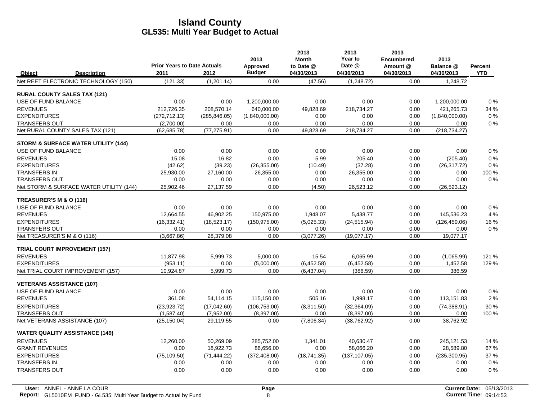|                                  |                                                |                                            |               | 2013                      | 2013<br>Month           | 2013<br>Year to      | 2013<br><b>Encumbered</b> | 2013                    |                              |
|----------------------------------|------------------------------------------------|--------------------------------------------|---------------|---------------------------|-------------------------|----------------------|---------------------------|-------------------------|------------------------------|
| Object                           | <b>Description</b>                             | <b>Prior Years to Date Actuals</b><br>2011 | 2012          | Approved<br><b>Budget</b> | to Date @<br>04/30/2013 | Date @<br>04/30/2013 | Amount @<br>04/30/2013    | Balance @<br>04/30/2013 | <b>Percent</b><br><b>YTD</b> |
|                                  | Net REET ELECTRONIC TECHNOLOGY (150)           | (121.33)                                   | (1,201.14)    | 0.00                      | (47.56)                 | (1,248.72)           | 0.00                      | 1,248.72                |                              |
|                                  | <b>RURAL COUNTY SALES TAX (121)</b>            |                                            |               |                           |                         |                      |                           |                         |                              |
| USE OF FUND BALANCE              |                                                | 0.00                                       | 0.00          | 1,200,000.00              | 0.00                    | 0.00                 | 0.00                      | 1,200,000.00            | 0%                           |
| <b>REVENUES</b>                  |                                                | 212.726.35                                 | 208.570.14    | 640.000.00                | 49.828.69               | 218.734.27           | 0.00                      | 421.265.73              | 34 %                         |
| <b>EXPENDITURES</b>              |                                                | (272, 712.13)                              | (285, 846.05) | (1,840,000.00)            | 0.00                    | 0.00                 | 0.00                      | (1,840,000.00)          | 0%                           |
| <b>TRANSFERS OUT</b>             |                                                | (2.700.00)                                 | 0.00          | 0.00                      | 0.00                    | 0.00                 | 0.00                      | 0.00                    | 0%                           |
|                                  | Net RURAL COUNTY SALES TAX (121)               | (62, 685.78)                               | (77, 275.91)  | 0.00                      | 49,828.69               | 218,734.27           | 0.00                      | (218, 734.27)           |                              |
|                                  | <b>STORM &amp; SURFACE WATER UTILITY (144)</b> |                                            |               |                           |                         |                      |                           |                         |                              |
| USE OF FUND BALANCE              |                                                | 0.00                                       | 0.00          | 0.00                      | 0.00                    | 0.00                 | 0.00                      | 0.00                    | 0%                           |
| <b>REVENUES</b>                  |                                                | 15.08                                      | 16.82         | 0.00                      | 5.99                    | 205.40               | 0.00                      | (205.40)                | 0%                           |
| <b>EXPENDITURES</b>              |                                                | (42.62)                                    | (39.23)       | (26, 355.00)              | (10.49)                 | (37.28)              | 0.00                      | (26, 317.72)            | 0%                           |
| <b>TRANSFERS IN</b>              |                                                | 25,930.00                                  | 27,160.00     | 26,355.00                 | 0.00                    | 26,355.00            | 0.00                      | 0.00                    | 100%                         |
| <b>TRANSFERS OUT</b>             |                                                | 0.00                                       | 0.00          | 0.00                      | 0.00                    | 0.00                 | 0.00                      | 0.00                    | 0%                           |
|                                  | Net STORM & SURFACE WATER UTILITY (144)        | 25,902.46                                  | 27,137.59     | 0.00                      | (4.50)                  | 26,523.12            | 0.00                      | (26, 523.12)            |                              |
| TREASURER'S M & O (116)          |                                                |                                            |               |                           |                         |                      |                           |                         |                              |
| USE OF FUND BALANCE              |                                                | 0.00                                       | 0.00          | 0.00                      | 0.00                    | 0.00                 | 0.00                      | 0.00                    | 0%                           |
| <b>REVENUES</b>                  |                                                | 12.664.55                                  | 46,902.25     | 150,975.00                | 1,948.07                | 5,438.77             | 0.00                      | 145,536.23              | 4 %                          |
| <b>EXPENDITURES</b>              |                                                | (16, 332.41)                               | (18,523.17)   | (150, 975.00)             | (5,025.33)              | (24, 515.94)         | 0.00                      | (126, 459.06)           | 16 %                         |
| <b>TRANSFERS OUT</b>             |                                                | 0.00                                       | 0.00          | 0.00                      | 0.00                    | 0.00                 | 0.00                      | 0.00                    | 0%                           |
| Net TREASURER'S M & O (116)      |                                                | (3,667.86)                                 | 28,379.08     | 0.00                      | (3,077.26)              | (19.077.17)          | 0.00                      | 19,077.17               |                              |
|                                  | <b>TRIAL COURT IMPROVEMENT (157)</b>           |                                            |               |                           |                         |                      |                           |                         |                              |
| <b>REVENUES</b>                  |                                                | 11,877.98                                  | 5,999.73      | 5,000.00                  | 15.54                   | 6,065.99             | 0.00                      | (1,065.99)              | 121 %                        |
| <b>EXPENDITURES</b>              |                                                | (953.11)                                   | 0.00          | (5,000.00)                | (6,452.58)              | (6,452.58)           | 0.00                      | 1,452.58                | 129 %                        |
|                                  | Net TRIAL COURT IMPROVEMENT (157)              | 10,924.87                                  | 5,999.73      | 0.00                      | (6, 437.04)             | (386.59)             | 0.00                      | 386.59                  |                              |
| <b>VETERANS ASSISTANCE (107)</b> |                                                |                                            |               |                           |                         |                      |                           |                         |                              |
| USE OF FUND BALANCE              |                                                | 0.00                                       | 0.00          | 0.00                      | 0.00                    | 0.00                 | 0.00                      | 0.00                    | 0%                           |
| <b>REVENUES</b>                  |                                                | 361.08                                     | 54,114.15     | 115,150.00                | 505.16                  | 1,998.17             | 0.00                      | 113,151.83              | 2 %                          |
| <b>EXPENDITURES</b>              |                                                | (23, 923.72)                               | (17,042.60)   | (106, 753.00)             | (8,311.50)              | (32, 364.09)         | 0.00                      | (74, 388.91)            | 30 %                         |
| <b>TRANSFERS OUT</b>             |                                                | (1,587.40)                                 | (7,952.00)    | (8, 397.00)               | 0.00                    | (8,397.00)           | 0.00                      | 0.00                    | 100%                         |
|                                  | Net VETERANS ASSISTANCE (107)                  | (25, 150.04)                               | 29,119.55     | 0.00                      | (7,806.34)              | (38, 762.92)         | 0.00                      | 38,762.92               |                              |
|                                  | <b>WATER QUALITY ASSISTANCE (149)</b>          |                                            |               |                           |                         |                      |                           |                         |                              |
| <b>REVENUES</b>                  |                                                | 12,260.00                                  | 50,269.09     | 285,752.00                | 1,341.01                | 40,630.47            | 0.00                      | 245,121.53              | 14 %                         |
| <b>GRANT REVENUES</b>            |                                                | 0.00                                       | 18,922.73     | 86,656.00                 | 0.00                    | 58,066.20            | 0.00                      | 28,589.80               | 67%                          |
| <b>EXPENDITURES</b>              |                                                | (75, 109.50)                               | (71, 444.22)  | (372, 408.00)             | (18,741.35)             | (137, 107.05)        | 0.00                      | (235, 300.95)           | 37 %                         |
| <b>TRANSFERS IN</b>              |                                                | 0.00                                       | 0.00          | 0.00                      | 0.00                    | 0.00                 | 0.00                      | 0.00                    | 0%                           |
| <b>TRANSFERS OUT</b>             |                                                | 0.00                                       | 0.00          | 0.00                      | 0.00                    | 0.00                 | 0.00                      | 0.00                    | 0%                           |
|                                  |                                                |                                            |               |                           |                         |                      |                           |                         |                              |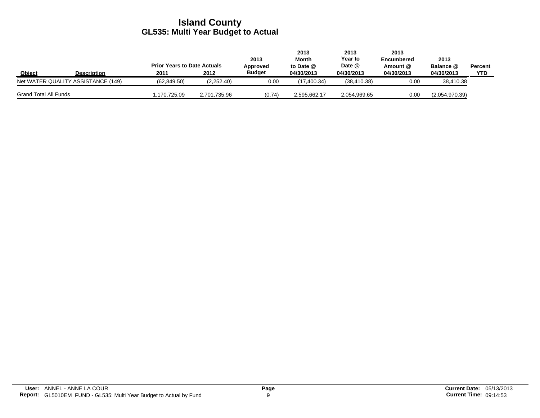|                              |                                    | <b>Prior Years to Date Actuals</b> |              | 2013<br>Approved | 2013<br>Month<br>to Date @ | 2013<br>Year to<br>Date @ | 2013<br>Encumbered<br>Amount @ | 2013<br>Balance @ | Percent    |
|------------------------------|------------------------------------|------------------------------------|--------------|------------------|----------------------------|---------------------------|--------------------------------|-------------------|------------|
| <b>Object</b>                | <b>Description</b>                 | 2011                               | 2012         | <b>Budget</b>    | 04/30/2013                 | 04/30/2013                | 04/30/2013                     | 04/30/2013        | <b>YTD</b> |
|                              | Net WATER QUALITY ASSISTANCE (149) | (62,849.50)                        | (2,252.40)   | 0.00             | (17,400.34)                | (38, 410.38)              | 0.00                           | 38,410.38         |            |
| <b>Grand Total All Funds</b> |                                    | .170.725.09                        | 2,701,735.96 | (0.74)           | 2,595,662.17               | 2,054,969.65              | 0.00                           | (2,054,970.39)    |            |